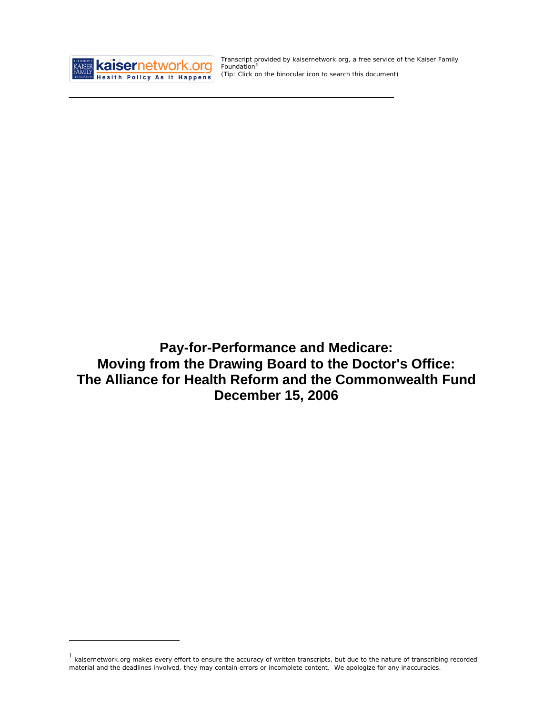

<u>.</u>

Transcript provided by kaisernetwork.org, a free service of the Kaiser Family Foundation**[1](#page-0-0)** *(Tip: Click on the binocular icon to se*arc*h this document)* 

**Pay-for-Performance and Medicare: Moving from the Drawing Board to the Doctor's Office: The Alliance for Health Reform and the Commonwealth Fund December 15, 2006** 

<span id="page-0-0"></span> $1$  kaisernetwork.org makes every effort to ensure the accuracy of written transcripts, but due to the nature of transcribing recorded material and the deadlines involved, they may contain errors or incomplete content. We apologize for any inaccuracies.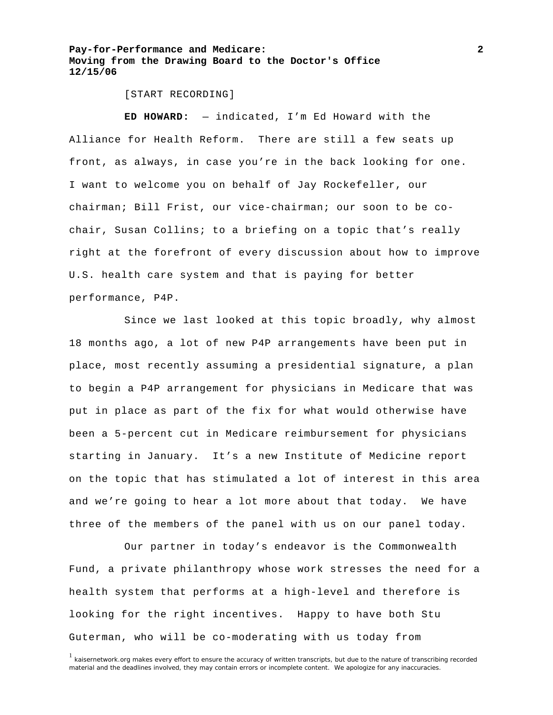#### [START RECORDING]

**ED HOWARD:** — indicated, I'm Ed Howard with the Alliance for Health Reform. There are still a few seats up front, as always, in case you're in the back looking for one. I want to welcome you on behalf of Jay Rockefeller, our chairman; Bill Frist, our vice-chairman; our soon to be cochair, Susan Collins; to a briefing on a topic that's really right at the forefront of every discussion about how to improve U.S. health care system and that is paying for better performance, P4P.

 Since we last looked at this topic broadly, why almost 18 months ago, a lot of new P4P arrangements have been put in place, most recently assuming a presidential signature, a plan to begin a P4P arrangement for physicians in Medicare that was put in place as part of the fix for what would otherwise have been a 5-percent cut in Medicare reimbursement for physicians starting in January. It's a new Institute of Medicine report on the topic that has stimulated a lot of interest in this area and we're going to hear a lot more about that today. We have three of the members of the panel with us on our panel today.

 Our partner in today's endeavor is the Commonwealth Fund, a private philanthropy whose work stresses the need for a health system that performs at a high-level and therefore is looking for the right incentives. Happy to have both Stu Guterman, who will be co-moderating with us today from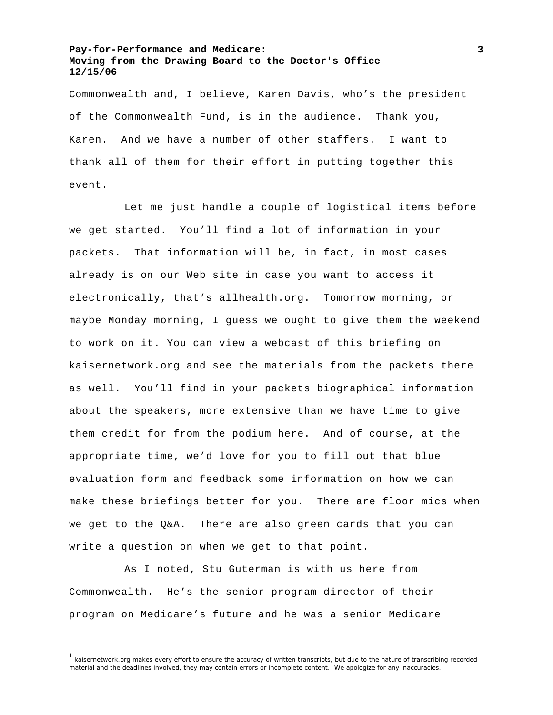Commonwealth and, I believe, Karen Davis, who's the president of the Commonwealth Fund, is in the audience. Thank you, Karen. And we have a number of other staffers. I want to thank all of them for their effort in putting together this event.

 Let me just handle a couple of logistical items before we get started. You'll find a lot of information in your packets. That information will be, in fact, in most cases already is on our Web site in case you want to access it electronically, that's allhealth.org. Tomorrow morning, or maybe Monday morning, I guess we ought to give them the weekend to work on it. You can view a webcast of this briefing on kaisernetwork.org and see the materials from the packets there as well. You'll find in your packets biographical information about the speakers, more extensive than we have time to give them credit for from the podium here. And of course, at the appropriate time, we'd love for you to fill out that blue evaluation form and feedback some information on how we can make these briefings better for you. There are floor mics when we get to the Q&A. There are also green cards that you can write a question on when we get to that point.

 As I noted, Stu Guterman is with us here from Commonwealth. He's the senior program director of their program on Medicare's future and he was a senior Medicare

<sup>&</sup>lt;sup>1</sup> kaisernetwork.org makes every effort to ensure the accuracy of written transcripts, but due to the nature of transcribing recorded material and the deadlines involved, they may contain errors or incomplete content. We apologize for any inaccuracies.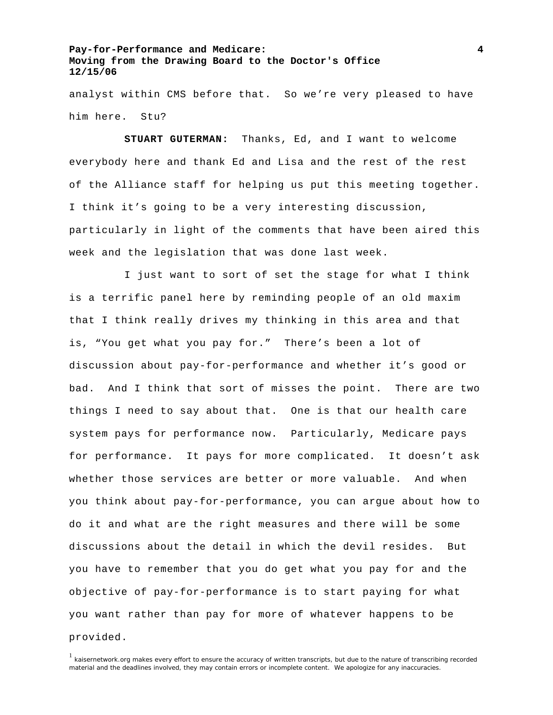analyst within CMS before that. So we're very pleased to have him here. Stu?

**STUART GUTERMAN:** Thanks, Ed, and I want to welcome everybody here and thank Ed and Lisa and the rest of the rest of the Alliance staff for helping us put this meeting together. I think it's going to be a very interesting discussion, particularly in light of the comments that have been aired this week and the legislation that was done last week.

 I just want to sort of set the stage for what I think is a terrific panel here by reminding people of an old maxim that I think really drives my thinking in this area and that is, "You get what you pay for." There's been a lot of discussion about pay-for-performance and whether it's good or bad. And I think that sort of misses the point. There are two things I need to say about that. One is that our health care system pays for performance now. Particularly, Medicare pays for performance. It pays for more complicated. It doesn't ask whether those services are better or more valuable. And when you think about pay-for-performance, you can argue about how to do it and what are the right measures and there will be some discussions about the detail in which the devil resides. But you have to remember that you do get what you pay for and the objective of pay-for-performance is to start paying for what you want rather than pay for more of whatever happens to be provided.

<sup>1</sup> kaisernetwork.org makes every effort to ensure the accuracy of written transcripts, but due to the nature of transcribing recorded material and the deadlines involved, they may contain errors or incomplete content. We apologize for any inaccuracies.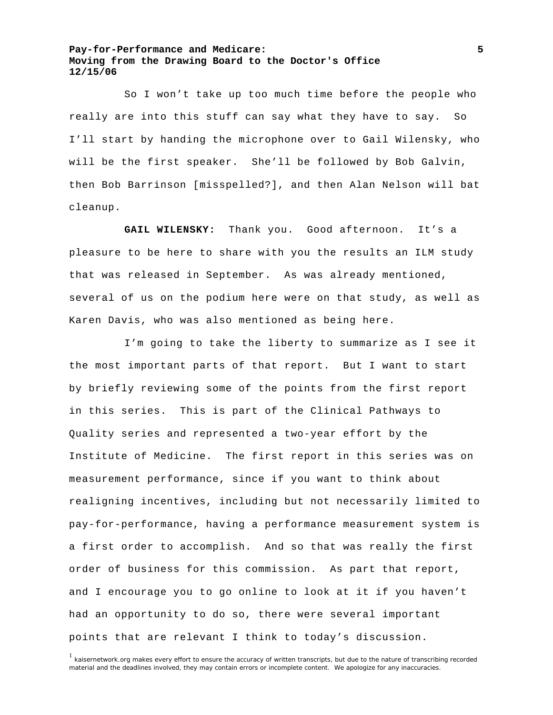So I won't take up too much time before the people who really are into this stuff can say what they have to say. So I'll start by handing the microphone over to Gail Wilensky, who will be the first speaker. She'll be followed by Bob Galvin, then Bob Barrinson [misspelled?], and then Alan Nelson will bat cleanup.

**GAIL WILENSKY:** Thank you. Good afternoon. It's a pleasure to be here to share with you the results an ILM study that was released in September. As was already mentioned, several of us on the podium here were on that study, as well as Karen Davis, who was also mentioned as being here.

 I'm going to take the liberty to summarize as I see it the most important parts of that report. But I want to start by briefly reviewing some of the points from the first report in this series. This is part of the Clinical Pathways to Quality series and represented a two-year effort by the Institute of Medicine. The first report in this series was on measurement performance, since if you want to think about realigning incentives, including but not necessarily limited to pay-for-performance, having a performance measurement system is a first order to accomplish. And so that was really the first order of business for this commission. As part that report, and I encourage you to go online to look at it if you haven't had an opportunity to do so, there were several important points that are relevant I think to today's discussion.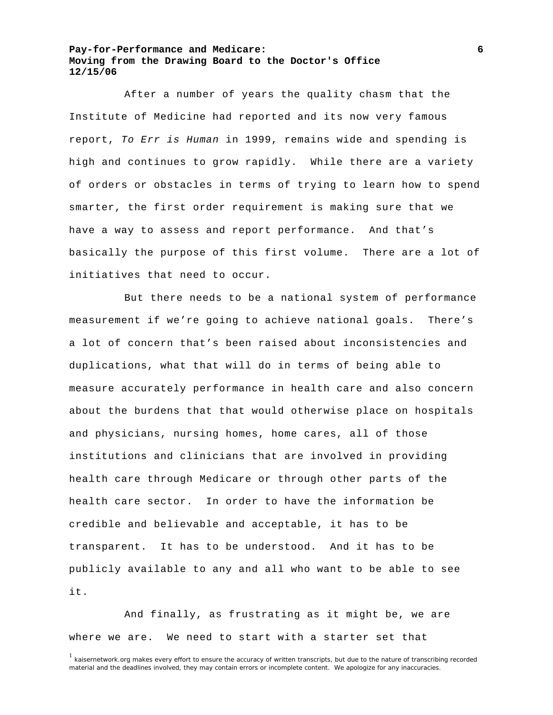After a number of years the quality chasm that the Institute of Medicine had reported and its now very famous report, *To Err is Human* in 1999, remains wide and spending is high and continues to grow rapidly. While there are a variety of orders or obstacles in terms of trying to learn how to spend smarter, the first order requirement is making sure that we have a way to assess and report performance. And that's basically the purpose of this first volume. There are a lot of initiatives that need to occur.

 But there needs to be a national system of performance measurement if we're going to achieve national goals. There's a lot of concern that's been raised about inconsistencies and duplications, what that will do in terms of being able to measure accurately performance in health care and also concern about the burdens that that would otherwise place on hospitals and physicians, nursing homes, home cares, all of those institutions and clinicians that are involved in providing health care through Medicare or through other parts of the health care sector. In order to have the information be credible and believable and acceptable, it has to be transparent. It has to be understood. And it has to be publicly available to any and all who want to be able to see it.

 And finally, as frustrating as it might be, we are where we are. We need to start with a starter set that

<sup>1</sup> kaisernetwork.org makes every effort to ensure the accuracy of written transcripts, but due to the nature of transcribing recorded material and the deadlines involved, they may contain errors or incomplete content. We apologize for any inaccuracies.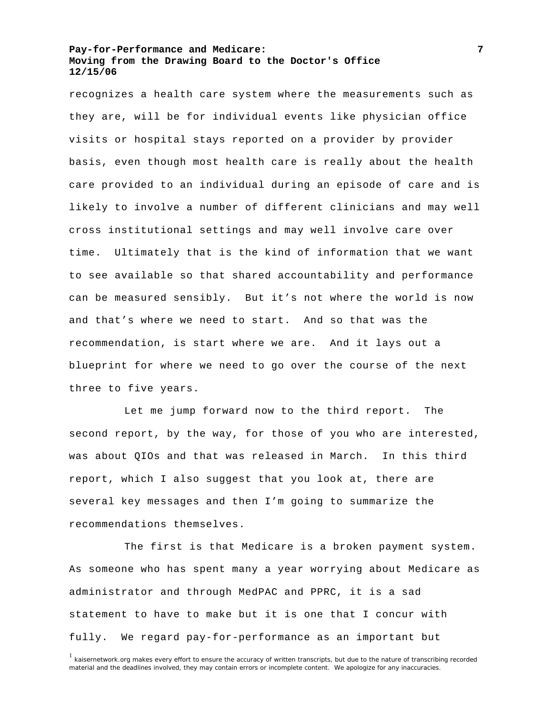recognizes a health care system where the measurements such as they are, will be for individual events like physician office visits or hospital stays reported on a provider by provider basis, even though most health care is really about the health care provided to an individual during an episode of care and is likely to involve a number of different clinicians and may well cross institutional settings and may well involve care over time. Ultimately that is the kind of information that we want to see available so that shared accountability and performance can be measured sensibly. But it's not where the world is now and that's where we need to start. And so that was the recommendation, is start where we are. And it lays out a blueprint for where we need to go over the course of the next three to five years.

 Let me jump forward now to the third report. The second report, by the way, for those of you who are interested, was about QIOs and that was released in March. In this third report, which I also suggest that you look at, there are several key messages and then I'm going to summarize the recommendations themselves.

 The first is that Medicare is a broken payment system. As someone who has spent many a year worrying about Medicare as administrator and through MedPAC and PPRC, it is a sad statement to have to make but it is one that I concur with fully. We regard pay-for-performance as an important but

<sup>&</sup>lt;sup>1</sup> kaisernetwork.org makes every effort to ensure the accuracy of written transcripts, but due to the nature of transcribing recorded material and the deadlines involved, they may contain errors or incomplete content. We apologize for any inaccuracies.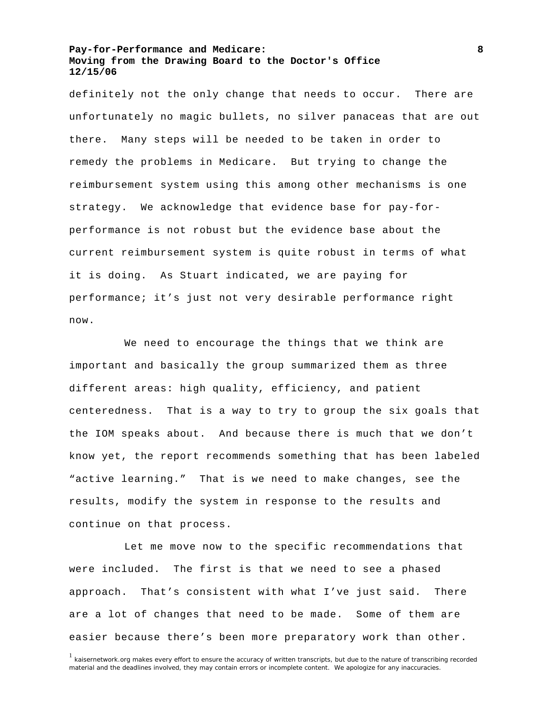definitely not the only change that needs to occur. There are unfortunately no magic bullets, no silver panaceas that are out there. Many steps will be needed to be taken in order to remedy the problems in Medicare. But trying to change the reimbursement system using this among other mechanisms is one strategy. We acknowledge that evidence base for pay-forperformance is not robust but the evidence base about the current reimbursement system is quite robust in terms of what it is doing. As Stuart indicated, we are paying for performance; it's just not very desirable performance right now.

 We need to encourage the things that we think are important and basically the group summarized them as three different areas: high quality, efficiency, and patient centeredness. That is a way to try to group the six goals that the IOM speaks about. And because there is much that we don't know yet, the report recommends something that has been labeled "active learning." That is we need to make changes, see the results, modify the system in response to the results and continue on that process.

 Let me move now to the specific recommendations that were included. The first is that we need to see a phased approach. That's consistent with what I've just said. There are a lot of changes that need to be made. Some of them are easier because there's been more preparatory work than other.

<sup>1</sup> kaisernetwork.org makes every effort to ensure the accuracy of written transcripts, but due to the nature of transcribing recorded material and the deadlines involved, they may contain errors or incomplete content. We apologize for any inaccuracies.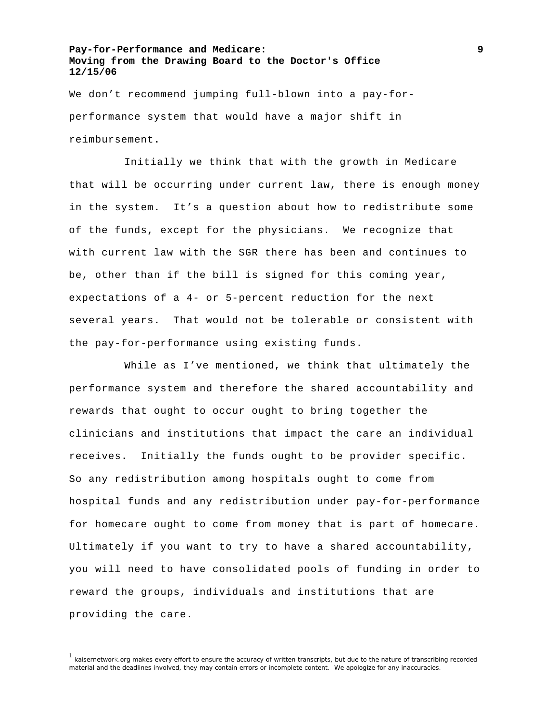We don't recommend jumping full-blown into a pay-forperformance system that would have a major shift in reimbursement.

 Initially we think that with the growth in Medicare that will be occurring under current law, there is enough money in the system. It's a question about how to redistribute some of the funds, except for the physicians. We recognize that with current law with the SGR there has been and continues to be, other than if the bill is signed for this coming year, expectations of a 4- or 5-percent reduction for the next several years. That would not be tolerable or consistent with the pay-for-performance using existing funds.

 While as I've mentioned, we think that ultimately the performance system and therefore the shared accountability and rewards that ought to occur ought to bring together the clinicians and institutions that impact the care an individual receives. Initially the funds ought to be provider specific. So any redistribution among hospitals ought to come from hospital funds and any redistribution under pay-for-performance for homecare ought to come from money that is part of homecare. Ultimately if you want to try to have a shared accountability, you will need to have consolidated pools of funding in order to reward the groups, individuals and institutions that are providing the care.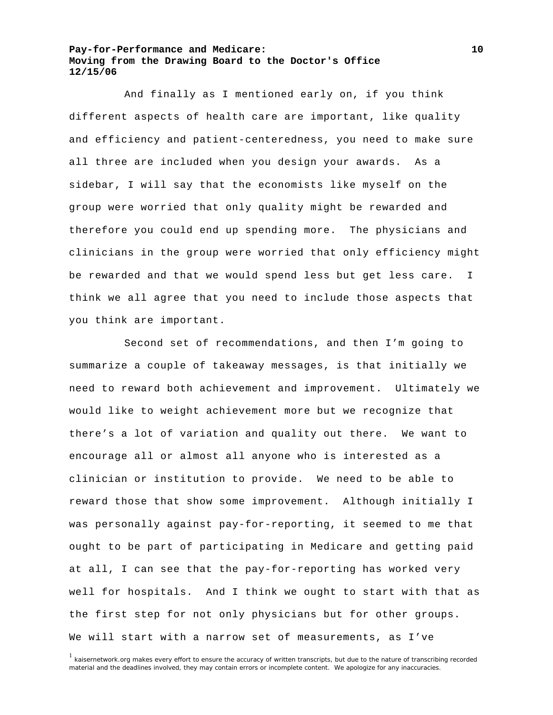And finally as I mentioned early on, if you think different aspects of health care are important, like quality and efficiency and patient-centeredness, you need to make sure all three are included when you design your awards. As a sidebar, I will say that the economists like myself on the group were worried that only quality might be rewarded and therefore you could end up spending more. The physicians and clinicians in the group were worried that only efficiency might be rewarded and that we would spend less but get less care. I think we all agree that you need to include those aspects that you think are important.

 Second set of recommendations, and then I'm going to summarize a couple of takeaway messages, is that initially we need to reward both achievement and improvement. Ultimately we would like to weight achievement more but we recognize that there's a lot of variation and quality out there. We want to encourage all or almost all anyone who is interested as a clinician or institution to provide. We need to be able to reward those that show some improvement. Although initially I was personally against pay-for-reporting, it seemed to me that ought to be part of participating in Medicare and getting paid at all, I can see that the pay-for-reporting has worked very well for hospitals. And I think we ought to start with that as the first step for not only physicians but for other groups. We will start with a narrow set of measurements, as I've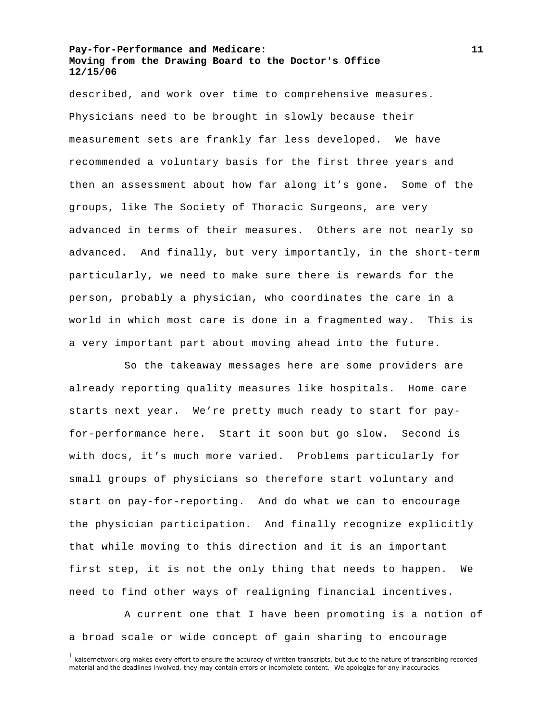described, and work over time to comprehensive measures. Physicians need to be brought in slowly because their measurement sets are frankly far less developed. We have recommended a voluntary basis for the first three years and then an assessment about how far along it's gone. Some of the groups, like The Society of Thoracic Surgeons, are very advanced in terms of their measures. Others are not nearly so advanced. And finally, but very importantly, in the short-term particularly, we need to make sure there is rewards for the person, probably a physician, who coordinates the care in a world in which most care is done in a fragmented way. This is a very important part about moving ahead into the future.

 So the takeaway messages here are some providers are already reporting quality measures like hospitals. Home care starts next year. We're pretty much ready to start for payfor-performance here. Start it soon but go slow. Second is with docs, it's much more varied. Problems particularly for small groups of physicians so therefore start voluntary and start on pay-for-reporting. And do what we can to encourage the physician participation. And finally recognize explicitly that while moving to this direction and it is an important first step, it is not the only thing that needs to happen. We need to find other ways of realigning financial incentives.

 A current one that I have been promoting is a notion of a broad scale or wide concept of gain sharing to encourage

<sup>&</sup>lt;sup>1</sup> kaisernetwork.org makes every effort to ensure the accuracy of written transcripts, but due to the nature of transcribing recorded material and the deadlines involved, they may contain errors or incomplete content. We apologize for any inaccuracies.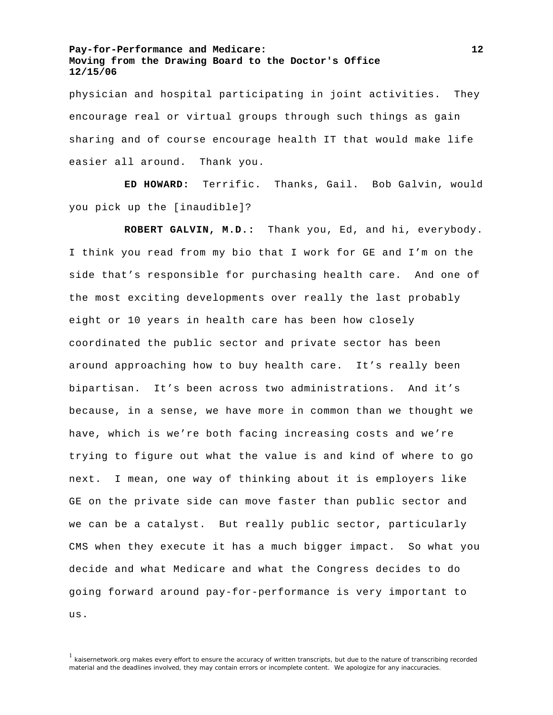physician and hospital participating in joint activities. They encourage real or virtual groups through such things as gain sharing and of course encourage health IT that would make life easier all around. Thank you.

**ED HOWARD:** Terrific. Thanks, Gail. Bob Galvin, would you pick up the [inaudible]?

**ROBERT GALVIN, M.D.:** Thank you, Ed, and hi, everybody. I think you read from my bio that I work for GE and I'm on the side that's responsible for purchasing health care. And one of the most exciting developments over really the last probably eight or 10 years in health care has been how closely coordinated the public sector and private sector has been around approaching how to buy health care. It's really been bipartisan. It's been across two administrations. And it's because, in a sense, we have more in common than we thought we have, which is we're both facing increasing costs and we're trying to figure out what the value is and kind of where to go next. I mean, one way of thinking about it is employers like GE on the private side can move faster than public sector and we can be a catalyst. But really public sector, particularly CMS when they execute it has a much bigger impact. So what you decide and what Medicare and what the Congress decides to do going forward around pay-for-performance is very important to us.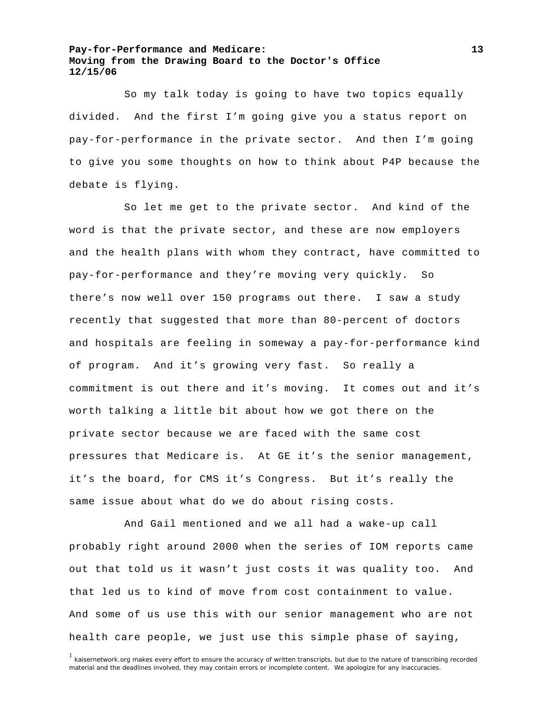So my talk today is going to have two topics equally divided. And the first I'm going give you a status report on pay-for-performance in the private sector. And then I'm going to give you some thoughts on how to think about P4P because the debate is flying.

 So let me get to the private sector. And kind of the word is that the private sector, and these are now employers and the health plans with whom they contract, have committed to pay-for-performance and they're moving very quickly. So there's now well over 150 programs out there. I saw a study recently that suggested that more than 80-percent of doctors and hospitals are feeling in someway a pay-for-performance kind of program. And it's growing very fast. So really a commitment is out there and it's moving. It comes out and it's worth talking a little bit about how we got there on the private sector because we are faced with the same cost pressures that Medicare is. At GE it's the senior management, it's the board, for CMS it's Congress. But it's really the same issue about what do we do about rising costs.

 And Gail mentioned and we all had a wake-up call probably right around 2000 when the series of IOM reports came out that told us it wasn't just costs it was quality too. And that led us to kind of move from cost containment to value. And some of us use this with our senior management who are not health care people, we just use this simple phase of saying,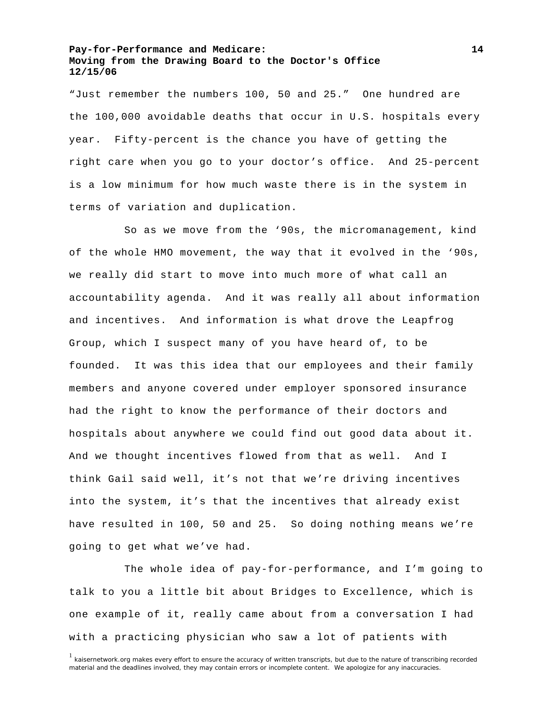"Just remember the numbers 100, 50 and 25." One hundred are the 100,000 avoidable deaths that occur in U.S. hospitals every year. Fifty-percent is the chance you have of getting the right care when you go to your doctor's office. And 25-percent is a low minimum for how much waste there is in the system in terms of variation and duplication.

 So as we move from the '90s, the micromanagement, kind of the whole HMO movement, the way that it evolved in the '90s, we really did start to move into much more of what call an accountability agenda. And it was really all about information and incentives. And information is what drove the Leapfrog Group, which I suspect many of you have heard of, to be founded. It was this idea that our employees and their family members and anyone covered under employer sponsored insurance had the right to know the performance of their doctors and hospitals about anywhere we could find out good data about it. And we thought incentives flowed from that as well. And I think Gail said well, it's not that we're driving incentives into the system, it's that the incentives that already exist have resulted in 100, 50 and 25. So doing nothing means we're going to get what we've had.

 The whole idea of pay-for-performance, and I'm going to talk to you a little bit about Bridges to Excellence, which is one example of it, really came about from a conversation I had with a practicing physician who saw a lot of patients with

 $1$  kaisernetwork.org makes every effort to ensure the accuracy of written transcripts, but due to the nature of transcribing recorded material and the deadlines involved, they may contain errors or incomplete content. We apologize for any inaccuracies.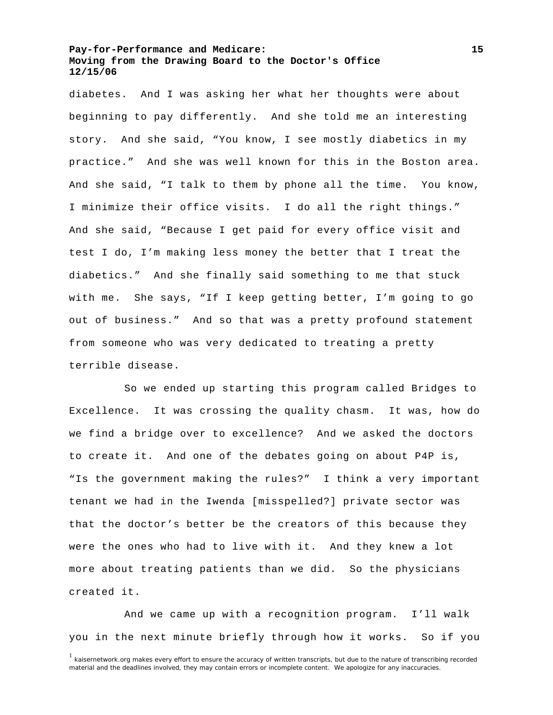diabetes. And I was asking her what her thoughts were about beginning to pay differently. And she told me an interesting story. And she said, "You know, I see mostly diabetics in my practice." And she was well known for this in the Boston area. And she said, "I talk to them by phone all the time. You know, I minimize their office visits. I do all the right things." And she said, "Because I get paid for every office visit and test I do, I'm making less money the better that I treat the diabetics." And she finally said something to me that stuck with me. She says, "If I keep getting better, I'm going to go out of business." And so that was a pretty profound statement from someone who was very dedicated to treating a pretty terrible disease.

 So we ended up starting this program called Bridges to Excellence. It was crossing the quality chasm. It was, how do we find a bridge over to excellence? And we asked the doctors to create it. And one of the debates going on about P4P is, "Is the government making the rules?" I think a very important tenant we had in the Iwenda [misspelled?] private sector was that the doctor's better be the creators of this because they were the ones who had to live with it. And they knew a lot more about treating patients than we did. So the physicians created it.

 And we came up with a recognition program. I'll walk you in the next minute briefly through how it works. So if you

<sup>&</sup>lt;sup>1</sup> kaisernetwork.org makes every effort to ensure the accuracy of written transcripts, but due to the nature of transcribing recorded material and the deadlines involved, they may contain errors or incomplete content. We apologize for any inaccuracies.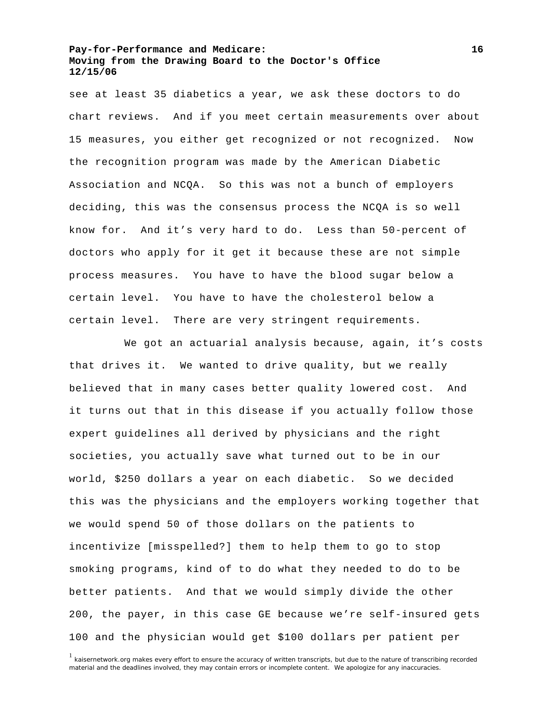see at least 35 diabetics a year, we ask these doctors to do chart reviews. And if you meet certain measurements over about 15 measures, you either get recognized or not recognized. Now the recognition program was made by the American Diabetic Association and NCQA. So this was not a bunch of employers deciding, this was the consensus process the NCQA is so well know for. And it's very hard to do. Less than 50-percent of doctors who apply for it get it because these are not simple process measures. You have to have the blood sugar below a certain level. You have to have the cholesterol below a certain level. There are very stringent requirements.

We got an actuarial analysis because, again, it's costs that drives it. We wanted to drive quality, but we really believed that in many cases better quality lowered cost. And it turns out that in this disease if you actually follow those expert guidelines all derived by physicians and the right societies, you actually save what turned out to be in our world, \$250 dollars a year on each diabetic. So we decided this was the physicians and the employers working together that we would spend 50 of those dollars on the patients to incentivize [misspelled?] them to help them to go to stop smoking programs, kind of to do what they needed to do to be better patients. And that we would simply divide the other 200, the payer, in this case GE because we're self-insured gets 100 and the physician would get \$100 dollars per patient per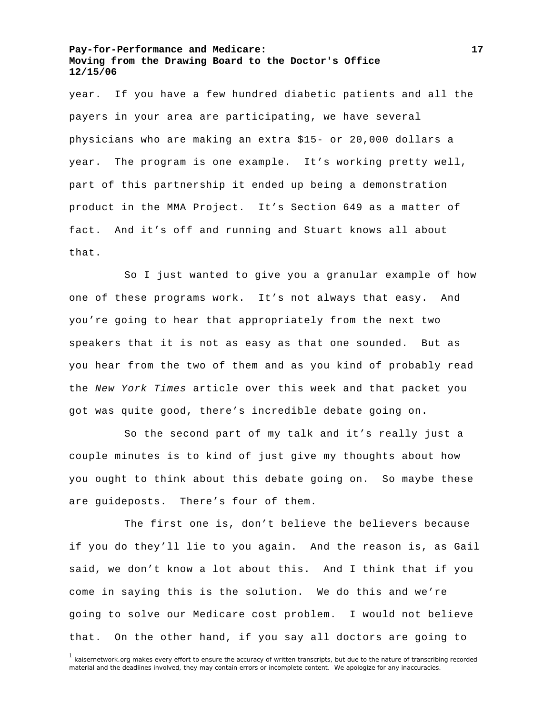year. If you have a few hundred diabetic patients and all the payers in your area are participating, we have several physicians who are making an extra \$15- or 20,000 dollars a year. The program is one example. It's working pretty well, part of this partnership it ended up being a demonstration product in the MMA Project. It's Section 649 as a matter of fact. And it's off and running and Stuart knows all about that.

 So I just wanted to give you a granular example of how one of these programs work. It's not always that easy. And you're going to hear that appropriately from the next two speakers that it is not as easy as that one sounded. But as you hear from the two of them and as you kind of probably read the *New York Times* article over this week and that packet you got was quite good, there's incredible debate going on.

 So the second part of my talk and it's really just a couple minutes is to kind of just give my thoughts about how you ought to think about this debate going on. So maybe these are guideposts. There's four of them.

 The first one is, don't believe the believers because if you do they'll lie to you again. And the reason is, as Gail said, we don't know a lot about this. And I think that if you come in saying this is the solution. We do this and we're going to solve our Medicare cost problem. I would not believe that. On the other hand, if you say all doctors are going to

<sup>&</sup>lt;sup>1</sup> kaisernetwork.org makes every effort to ensure the accuracy of written transcripts, but due to the nature of transcribing recorded material and the deadlines involved, they may contain errors or incomplete content. We apologize for any inaccuracies.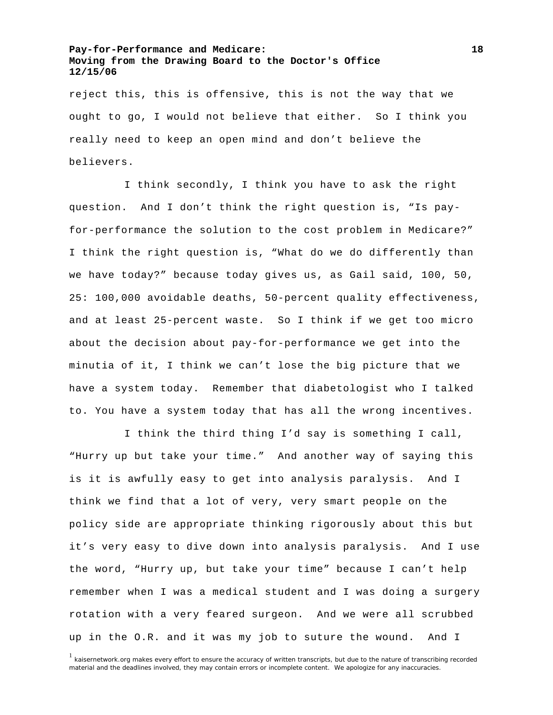reject this, this is offensive, this is not the way that we ought to go, I would not believe that either. So I think you really need to keep an open mind and don't believe the believers.

 I think secondly, I think you have to ask the right question. And I don't think the right question is, "Is payfor-performance the solution to the cost problem in Medicare?" I think the right question is, "What do we do differently than we have today?" because today gives us, as Gail said, 100, 50, 25: 100,000 avoidable deaths, 50-percent quality effectiveness, and at least 25-percent waste. So I think if we get too micro about the decision about pay-for-performance we get into the minutia of it, I think we can't lose the big picture that we have a system today. Remember that diabetologist who I talked to. You have a system today that has all the wrong incentives.

 I think the third thing I'd say is something I call, "Hurry up but take your time." And another way of saying this is it is awfully easy to get into analysis paralysis. And I think we find that a lot of very, very smart people on the policy side are appropriate thinking rigorously about this but it's very easy to dive down into analysis paralysis. And I use the word, "Hurry up, but take your time" because I can't help remember when I was a medical student and I was doing a surgery rotation with a very feared surgeon. And we were all scrubbed up in the O.R. and it was my job to suture the wound. And I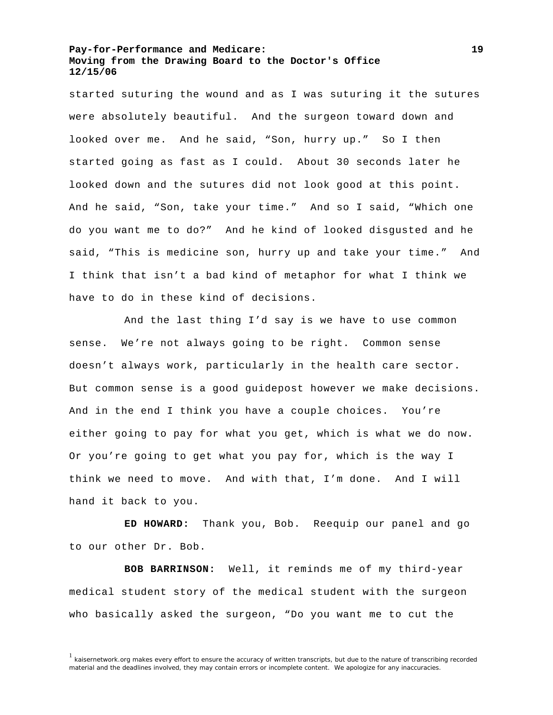started suturing the wound and as I was suturing it the sutures were absolutely beautiful. And the surgeon toward down and looked over me. And he said, "Son, hurry up." So I then started going as fast as I could. About 30 seconds later he looked down and the sutures did not look good at this point. And he said, "Son, take your time." And so I said, "Which one do you want me to do?" And he kind of looked disgusted and he said, "This is medicine son, hurry up and take your time." And I think that isn't a bad kind of metaphor for what I think we have to do in these kind of decisions.

 And the last thing I'd say is we have to use common sense. We're not always going to be right. Common sense doesn't always work, particularly in the health care sector. But common sense is a good guidepost however we make decisions. And in the end I think you have a couple choices. You're either going to pay for what you get, which is what we do now. Or you're going to get what you pay for, which is the way I think we need to move. And with that, I'm done. And I will hand it back to you.

 **ED HOWARD:** Thank you, Bob. Reequip our panel and go to our other Dr. Bob.

**BOB BARRINSON:** Well, it reminds me of my third-year medical student story of the medical student with the surgeon who basically asked the surgeon, "Do you want me to cut the

<sup>&</sup>lt;sup>1</sup> kaisernetwork.org makes every effort to ensure the accuracy of written transcripts, but due to the nature of transcribing recorded material and the deadlines involved, they may contain errors or incomplete content. We apologize for any inaccuracies.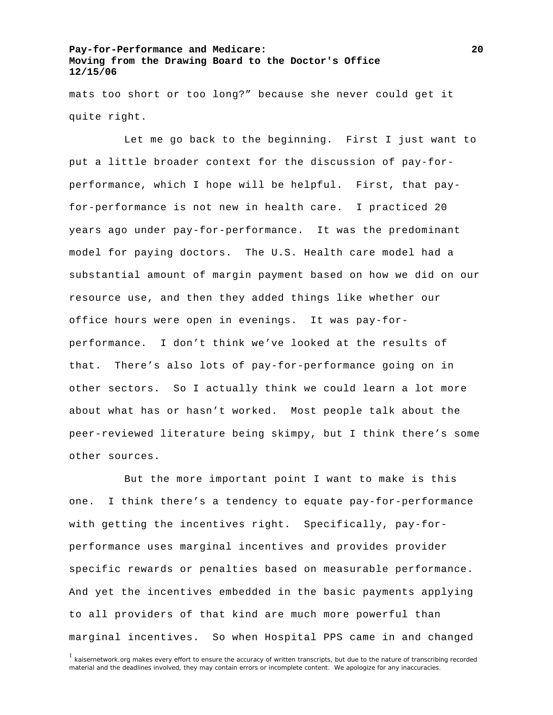mats too short or too long?" because she never could get it quite right.

 Let me go back to the beginning. First I just want to put a little broader context for the discussion of pay-forperformance, which I hope will be helpful. First, that payfor-performance is not new in health care. I practiced 20 years ago under pay-for-performance. It was the predominant model for paying doctors. The U.S. Health care model had a substantial amount of margin payment based on how we did on our resource use, and then they added things like whether our office hours were open in evenings. It was pay-forperformance. I don't think we've looked at the results of that. There's also lots of pay-for-performance going on in other sectors. So I actually think we could learn a lot more about what has or hasn't worked. Most people talk about the peer-reviewed literature being skimpy, but I think there's some other sources.

 But the more important point I want to make is this one. I think there's a tendency to equate pay-for-performance with getting the incentives right. Specifically, pay-forperformance uses marginal incentives and provides provider specific rewards or penalties based on measurable performance. And yet the incentives embedded in the basic payments applying to all providers of that kind are much more powerful than marginal incentives. So when Hospital PPS came in and changed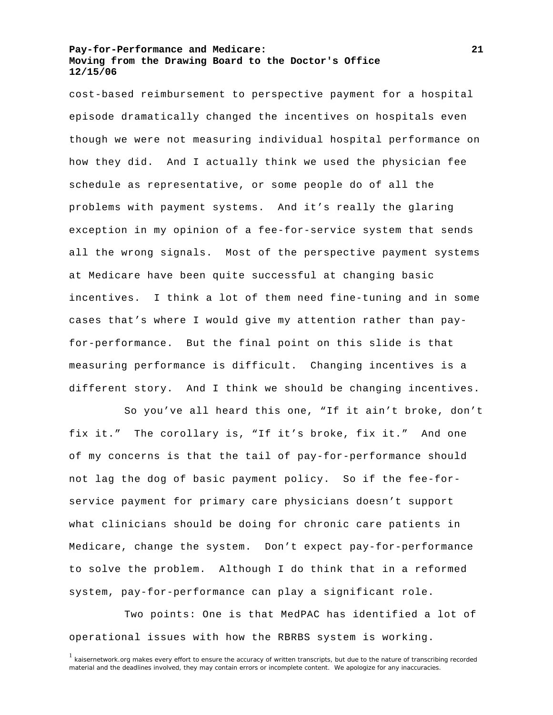cost-based reimbursement to perspective payment for a hospital episode dramatically changed the incentives on hospitals even though we were not measuring individual hospital performance on how they did. And I actually think we used the physician fee schedule as representative, or some people do of all the problems with payment systems. And it's really the glaring exception in my opinion of a fee-for-service system that sends all the wrong signals. Most of the perspective payment systems at Medicare have been quite successful at changing basic incentives. I think a lot of them need fine-tuning and in some cases that's where I would give my attention rather than payfor-performance. But the final point on this slide is that measuring performance is difficult. Changing incentives is a different story. And I think we should be changing incentives.

 So you've all heard this one, "If it ain't broke, don't fix it." The corollary is, "If it's broke, fix it." And one of my concerns is that the tail of pay-for-performance should not lag the dog of basic payment policy. So if the fee-forservice payment for primary care physicians doesn't support what clinicians should be doing for chronic care patients in Medicare, change the system. Don't expect pay-for-performance to solve the problem. Although I do think that in a reformed system, pay-for-performance can play a significant role.

 Two points: One is that MedPAC has identified a lot of operational issues with how the RBRBS system is working.

<sup>&</sup>lt;sup>1</sup> kaisernetwork.org makes every effort to ensure the accuracy of written transcripts, but due to the nature of transcribing recorded material and the deadlines involved, they may contain errors or incomplete content. We apologize for any inaccuracies.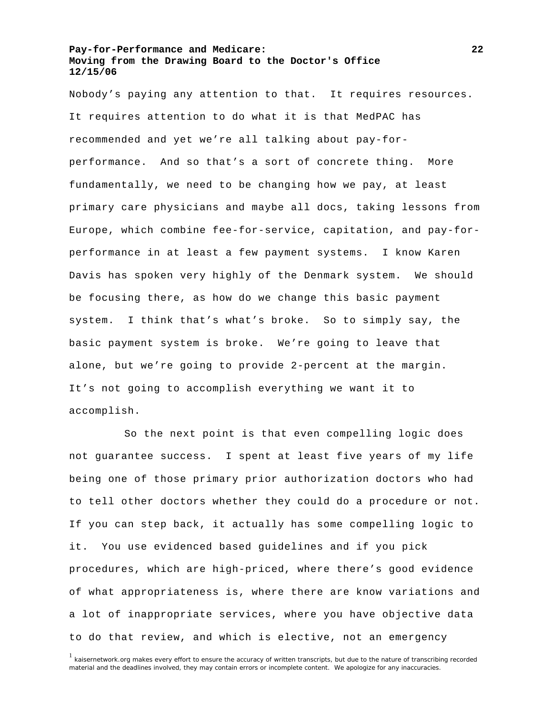Nobody's paying any attention to that. It requires resources. It requires attention to do what it is that MedPAC has recommended and yet we're all talking about pay-forperformance. And so that's a sort of concrete thing. More fundamentally, we need to be changing how we pay, at least primary care physicians and maybe all docs, taking lessons from Europe, which combine fee-for-service, capitation, and pay-forperformance in at least a few payment systems. I know Karen Davis has spoken very highly of the Denmark system. We should be focusing there, as how do we change this basic payment system. I think that's what's broke. So to simply say, the basic payment system is broke. We're going to leave that alone, but we're going to provide 2-percent at the margin. It's not going to accomplish everything we want it to accomplish.

 So the next point is that even compelling logic does not guarantee success. I spent at least five years of my life being one of those primary prior authorization doctors who had to tell other doctors whether they could do a procedure or not. If you can step back, it actually has some compelling logic to it. You use evidenced based guidelines and if you pick procedures, which are high-priced, where there's good evidence of what appropriateness is, where there are know variations and a lot of inappropriate services, where you have objective data to do that review, and which is elective, not an emergency

<sup>&</sup>lt;sup>1</sup> kaisernetwork.org makes every effort to ensure the accuracy of written transcripts, but due to the nature of transcribing recorded material and the deadlines involved, they may contain errors or incomplete content. We apologize for any inaccuracies.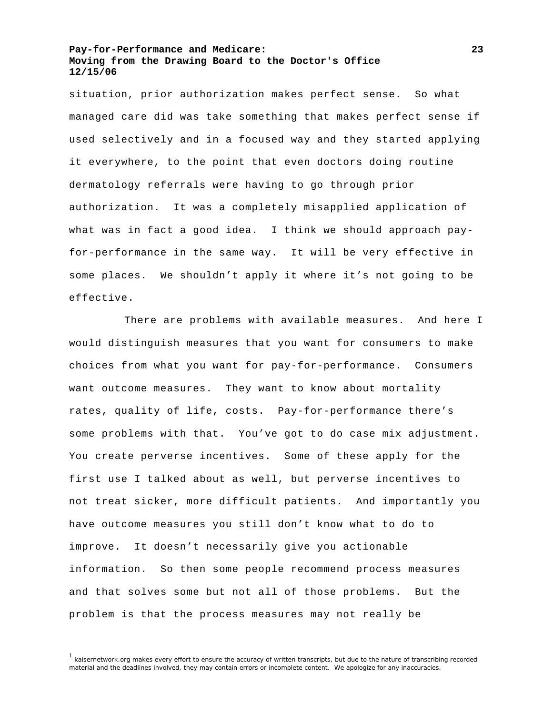situation, prior authorization makes perfect sense. So what managed care did was take something that makes perfect sense if used selectively and in a focused way and they started applying it everywhere, to the point that even doctors doing routine dermatology referrals were having to go through prior authorization. It was a completely misapplied application of what was in fact a good idea. I think we should approach payfor-performance in the same way. It will be very effective in some places. We shouldn't apply it where it's not going to be effective.

 There are problems with available measures. And here I would distinguish measures that you want for consumers to make choices from what you want for pay-for-performance. Consumers want outcome measures. They want to know about mortality rates, quality of life, costs. Pay-for-performance there's some problems with that. You've got to do case mix adjustment. You create perverse incentives. Some of these apply for the first use I talked about as well, but perverse incentives to not treat sicker, more difficult patients. And importantly you have outcome measures you still don't know what to do to improve. It doesn't necessarily give you actionable information. So then some people recommend process measures and that solves some but not all of those problems. But the problem is that the process measures may not really be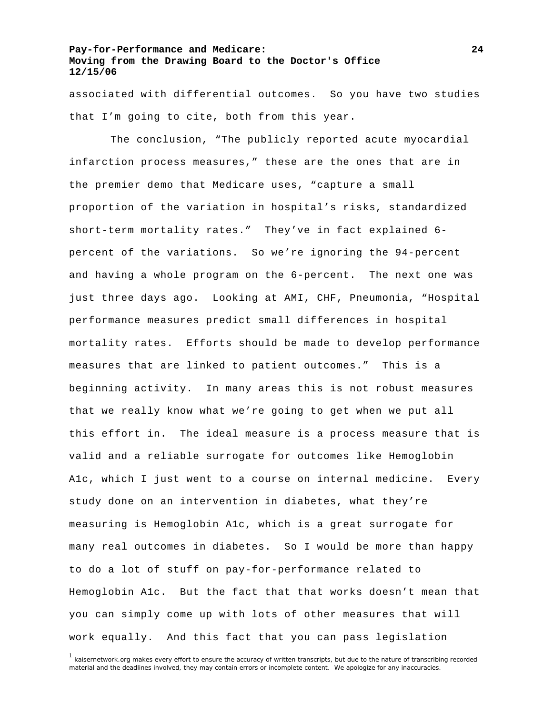associated with differential outcomes. So you have two studies that I'm going to cite, both from this year.

 The conclusion, "The publicly reported acute myocardial infarction process measures," these are the ones that are in the premier demo that Medicare uses, "capture a small proportion of the variation in hospital's risks, standardized short-term mortality rates." They've in fact explained 6 percent of the variations. So we're ignoring the 94-percent and having a whole program on the 6-percent. The next one was just three days ago. Looking at AMI, CHF, Pneumonia, "Hospital performance measures predict small differences in hospital mortality rates. Efforts should be made to develop performance measures that are linked to patient outcomes." This is a beginning activity. In many areas this is not robust measures that we really know what we're going to get when we put all this effort in. The ideal measure is a process measure that is valid and a reliable surrogate for outcomes like Hemoglobin A1c, which I just went to a course on internal medicine. Every study done on an intervention in diabetes, what they're measuring is Hemoglobin A1c, which is a great surrogate for many real outcomes in diabetes. So I would be more than happy to do a lot of stuff on pay-for-performance related to Hemoglobin A1c. But the fact that that works doesn't mean that you can simply come up with lots of other measures that will work equally. And this fact that you can pass legislation

<sup>1</sup> kaisernetwork.org makes every effort to ensure the accuracy of written transcripts, but due to the nature of transcribing recorded material and the deadlines involved, they may contain errors or incomplete content. We apologize for any inaccuracies.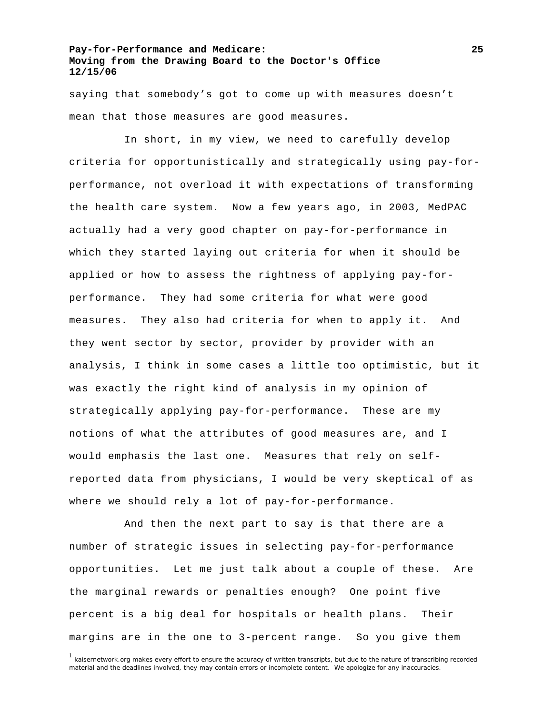saying that somebody's got to come up with measures doesn't mean that those measures are good measures.

 In short, in my view, we need to carefully develop criteria for opportunistically and strategically using pay-forperformance, not overload it with expectations of transforming the health care system. Now a few years ago, in 2003, MedPAC actually had a very good chapter on pay-for-performance in which they started laying out criteria for when it should be applied or how to assess the rightness of applying pay-forperformance. They had some criteria for what were good measures. They also had criteria for when to apply it. And they went sector by sector, provider by provider with an analysis, I think in some cases a little too optimistic, but it was exactly the right kind of analysis in my opinion of strategically applying pay-for-performance. These are my notions of what the attributes of good measures are, and I would emphasis the last one. Measures that rely on selfreported data from physicians, I would be very skeptical of as where we should rely a lot of pay-for-performance.

 And then the next part to say is that there are a number of strategic issues in selecting pay-for-performance opportunities. Let me just talk about a couple of these. Are the marginal rewards or penalties enough? One point five percent is a big deal for hospitals or health plans. Their margins are in the one to 3-percent range. So you give them

<sup>&</sup>lt;sup>1</sup> kaisernetwork.org makes every effort to ensure the accuracy of written transcripts, but due to the nature of transcribing recorded material and the deadlines involved, they may contain errors or incomplete content. We apologize for any inaccuracies.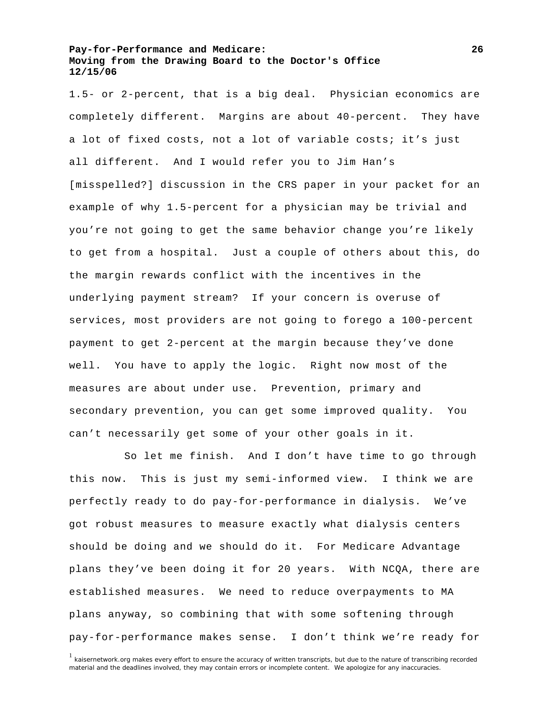1.5- or 2-percent, that is a big deal. Physician economics are completely different. Margins are about 40-percent. They have a lot of fixed costs, not a lot of variable costs; it's just all different. And I would refer you to Jim Han's [misspelled?] discussion in the CRS paper in your packet for an example of why 1.5-percent for a physician may be trivial and you're not going to get the same behavior change you're likely to get from a hospital. Just a couple of others about this, do the margin rewards conflict with the incentives in the underlying payment stream? If your concern is overuse of services, most providers are not going to forego a 100-percent payment to get 2-percent at the margin because they've done well. You have to apply the logic. Right now most of the measures are about under use. Prevention, primary and secondary prevention, you can get some improved quality. You can't necessarily get some of your other goals in it.

 So let me finish. And I don't have time to go through this now. This is just my semi-informed view. I think we are perfectly ready to do pay-for-performance in dialysis. We've got robust measures to measure exactly what dialysis centers should be doing and we should do it. For Medicare Advantage plans they've been doing it for 20 years. With NCQA, there are established measures. We need to reduce overpayments to MA plans anyway, so combining that with some softening through pay-for-performance makes sense. I don't think we're ready for

<sup>&</sup>lt;sup>1</sup> kaisernetwork.org makes every effort to ensure the accuracy of written transcripts, but due to the nature of transcribing recorded material and the deadlines involved, they may contain errors or incomplete content. We apologize for any inaccuracies.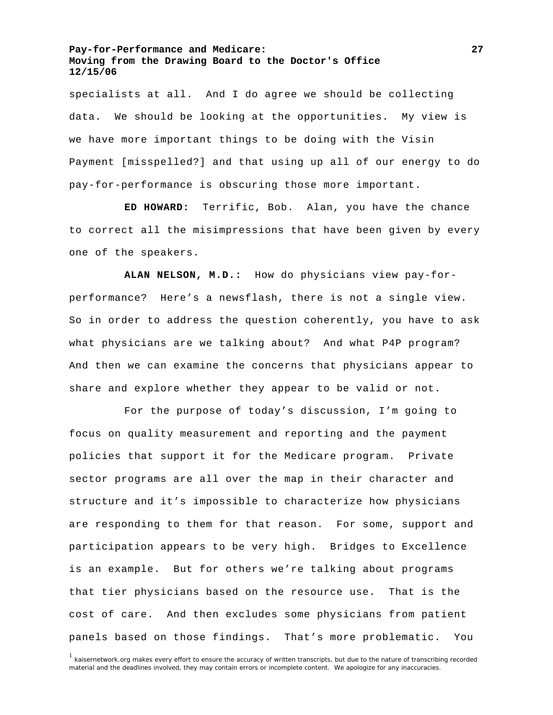specialists at all. And I do agree we should be collecting data. We should be looking at the opportunities. My view is we have more important things to be doing with the Visin Payment [misspelled?] and that using up all of our energy to do pay-for-performance is obscuring those more important.

**ED HOWARD:** Terrific, Bob. Alan, you have the chance to correct all the misimpressions that have been given by every one of the speakers.

**ALAN NELSON, M.D.:** How do physicians view pay-forperformance? Here's a newsflash, there is not a single view. So in order to address the question coherently, you have to ask what physicians are we talking about? And what P4P program? And then we can examine the concerns that physicians appear to share and explore whether they appear to be valid or not.

 For the purpose of today's discussion, I'm going to focus on quality measurement and reporting and the payment policies that support it for the Medicare program. Private sector programs are all over the map in their character and structure and it's impossible to characterize how physicians are responding to them for that reason. For some, support and participation appears to be very high. Bridges to Excellence is an example. But for others we're talking about programs that tier physicians based on the resource use. That is the cost of care. And then excludes some physicians from patient panels based on those findings. That's more problematic. You

<sup>1</sup> kaisernetwork.org makes every effort to ensure the accuracy of written transcripts, but due to the nature of transcribing recorded material and the deadlines involved, they may contain errors or incomplete content. We apologize for any inaccuracies.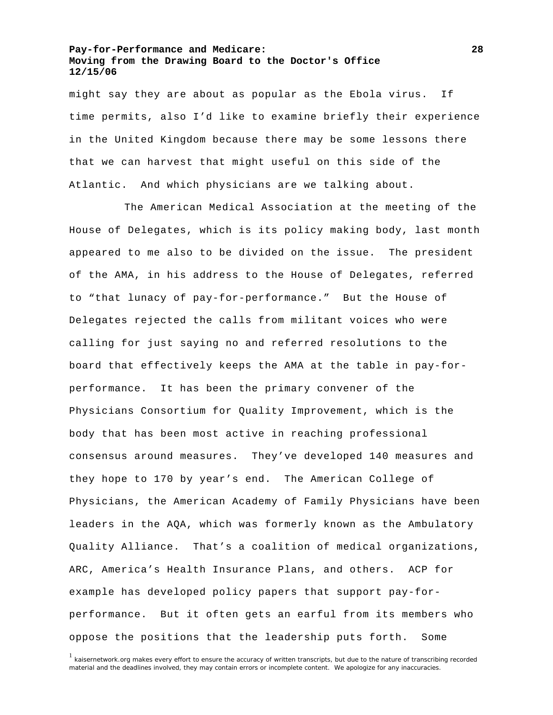might say they are about as popular as the Ebola virus. If time permits, also I'd like to examine briefly their experience in the United Kingdom because there may be some lessons there that we can harvest that might useful on this side of the Atlantic. And which physicians are we talking about.

 The American Medical Association at the meeting of the House of Delegates, which is its policy making body, last month appeared to me also to be divided on the issue. The president of the AMA, in his address to the House of Delegates, referred to "that lunacy of pay-for-performance." But the House of Delegates rejected the calls from militant voices who were calling for just saying no and referred resolutions to the board that effectively keeps the AMA at the table in pay-forperformance. It has been the primary convener of the Physicians Consortium for Quality Improvement, which is the body that has been most active in reaching professional consensus around measures. They've developed 140 measures and they hope to 170 by year's end. The American College of Physicians, the American Academy of Family Physicians have been leaders in the AQA, which was formerly known as the Ambulatory Quality Alliance. That's a coalition of medical organizations, ARC, America's Health Insurance Plans, and others. ACP for example has developed policy papers that support pay-forperformance. But it often gets an earful from its members who oppose the positions that the leadership puts forth. Some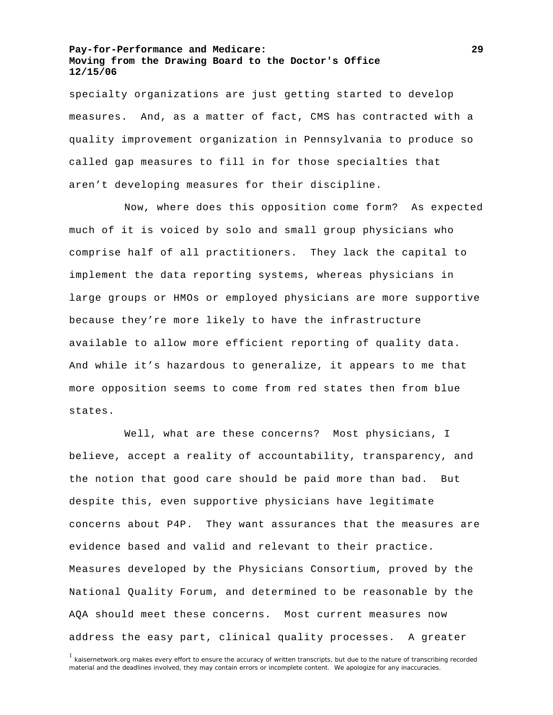specialty organizations are just getting started to develop measures. And, as a matter of fact, CMS has contracted with a quality improvement organization in Pennsylvania to produce so called gap measures to fill in for those specialties that aren't developing measures for their discipline.

 Now, where does this opposition come form? As expected much of it is voiced by solo and small group physicians who comprise half of all practitioners. They lack the capital to implement the data reporting systems, whereas physicians in large groups or HMOs or employed physicians are more supportive because they're more likely to have the infrastructure available to allow more efficient reporting of quality data. And while it's hazardous to generalize, it appears to me that more opposition seems to come from red states then from blue states.

 Well, what are these concerns? Most physicians, I believe, accept a reality of accountability, transparency, and the notion that good care should be paid more than bad. But despite this, even supportive physicians have legitimate concerns about P4P. They want assurances that the measures are evidence based and valid and relevant to their practice. Measures developed by the Physicians Consortium, proved by the National Quality Forum, and determined to be reasonable by the AQA should meet these concerns. Most current measures now address the easy part, clinical quality processes. A greater

<sup>1</sup> kaisernetwork.org makes every effort to ensure the accuracy of written transcripts, but due to the nature of transcribing recorded material and the deadlines involved, they may contain errors or incomplete content. We apologize for any inaccuracies.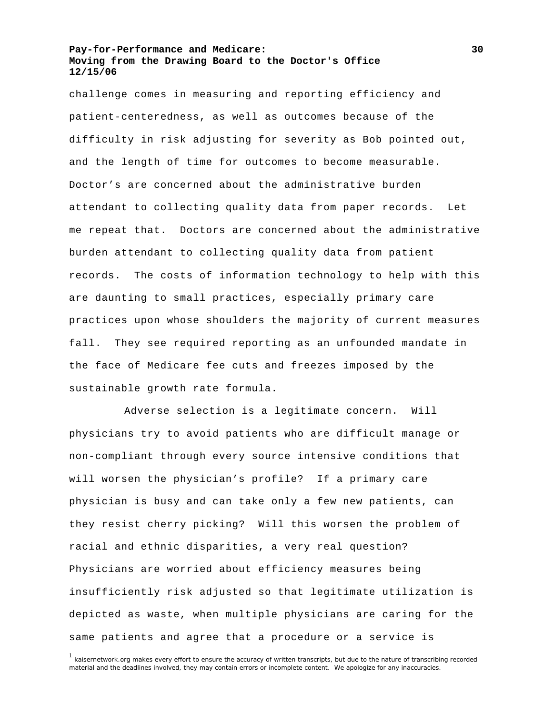challenge comes in measuring and reporting efficiency and patient-centeredness, as well as outcomes because of the difficulty in risk adjusting for severity as Bob pointed out, and the length of time for outcomes to become measurable. Doctor's are concerned about the administrative burden attendant to collecting quality data from paper records. Let me repeat that. Doctors are concerned about the administrative burden attendant to collecting quality data from patient records. The costs of information technology to help with this are daunting to small practices, especially primary care practices upon whose shoulders the majority of current measures fall. They see required reporting as an unfounded mandate in the face of Medicare fee cuts and freezes imposed by the sustainable growth rate formula.

 Adverse selection is a legitimate concern. Will physicians try to avoid patients who are difficult manage or non-compliant through every source intensive conditions that will worsen the physician's profile? If a primary care physician is busy and can take only a few new patients, can they resist cherry picking? Will this worsen the problem of racial and ethnic disparities, a very real question? Physicians are worried about efficiency measures being insufficiently risk adjusted so that legitimate utilization is depicted as waste, when multiple physicians are caring for the same patients and agree that a procedure or a service is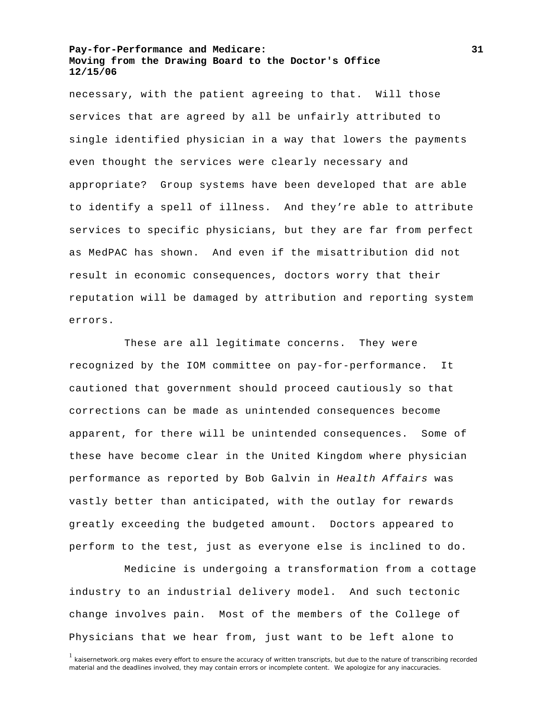necessary, with the patient agreeing to that. Will those services that are agreed by all be unfairly attributed to single identified physician in a way that lowers the payments even thought the services were clearly necessary and appropriate? Group systems have been developed that are able to identify a spell of illness. And they're able to attribute services to specific physicians, but they are far from perfect as MedPAC has shown. And even if the misattribution did not result in economic consequences, doctors worry that their reputation will be damaged by attribution and reporting system errors.

 These are all legitimate concerns. They were recognized by the IOM committee on pay-for-performance. It cautioned that government should proceed cautiously so that corrections can be made as unintended consequences become apparent, for there will be unintended consequences. Some of these have become clear in the United Kingdom where physician performance as reported by Bob Galvin in *Health Affairs* was vastly better than anticipated, with the outlay for rewards greatly exceeding the budgeted amount. Doctors appeared to perform to the test, just as everyone else is inclined to do.

 Medicine is undergoing a transformation from a cottage industry to an industrial delivery model. And such tectonic change involves pain. Most of the members of the College of Physicians that we hear from, just want to be left alone to

<sup>&</sup>lt;sup>1</sup> kaisernetwork.org makes every effort to ensure the accuracy of written transcripts, but due to the nature of transcribing recorded material and the deadlines involved, they may contain errors or incomplete content. We apologize for any inaccuracies.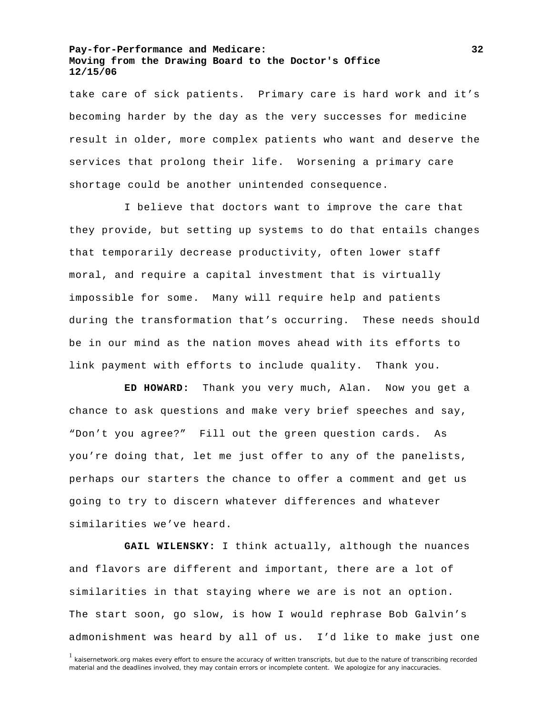take care of sick patients. Primary care is hard work and it's becoming harder by the day as the very successes for medicine result in older, more complex patients who want and deserve the services that prolong their life. Worsening a primary care shortage could be another unintended consequence.

 I believe that doctors want to improve the care that they provide, but setting up systems to do that entails changes that temporarily decrease productivity, often lower staff moral, and require a capital investment that is virtually impossible for some. Many will require help and patients during the transformation that's occurring. These needs should be in our mind as the nation moves ahead with its efforts to link payment with efforts to include quality. Thank you.

**ED HOWARD:** Thank you very much, Alan. Now you get a chance to ask questions and make very brief speeches and say, "Don't you agree?" Fill out the green question cards. As you're doing that, let me just offer to any of the panelists, perhaps our starters the chance to offer a comment and get us going to try to discern whatever differences and whatever similarities we've heard.

**GAIL WILENSKY:** I think actually, although the nuances and flavors are different and important, there are a lot of similarities in that staying where we are is not an option. The start soon, go slow, is how I would rephrase Bob Galvin's admonishment was heard by all of us. I'd like to make just one

<sup>&</sup>lt;sup>1</sup> kaisernetwork.org makes every effort to ensure the accuracy of written transcripts, but due to the nature of transcribing recorded material and the deadlines involved, they may contain errors or incomplete content. We apologize for any inaccuracies.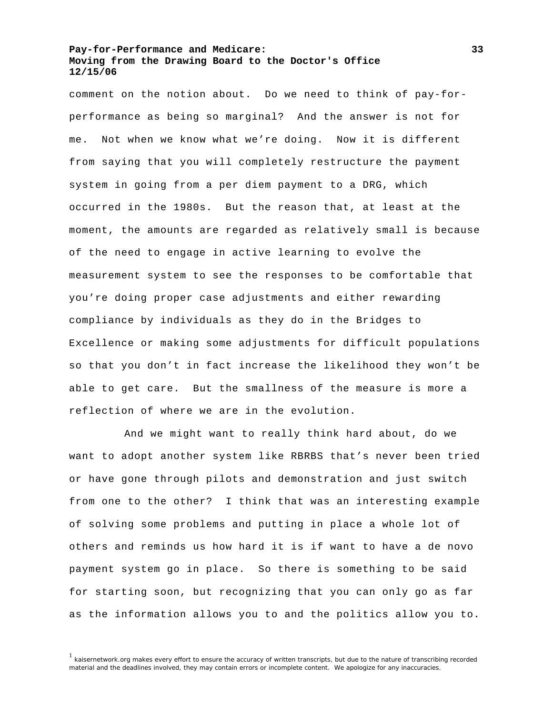comment on the notion about. Do we need to think of pay-forperformance as being so marginal? And the answer is not for me. Not when we know what we're doing. Now it is different from saying that you will completely restructure the payment system in going from a per diem payment to a DRG, which occurred in the 1980s. But the reason that, at least at the moment, the amounts are regarded as relatively small is because of the need to engage in active learning to evolve the measurement system to see the responses to be comfortable that you're doing proper case adjustments and either rewarding compliance by individuals as they do in the Bridges to Excellence or making some adjustments for difficult populations so that you don't in fact increase the likelihood they won't be able to get care. But the smallness of the measure is more a reflection of where we are in the evolution.

 And we might want to really think hard about, do we want to adopt another system like RBRBS that's never been tried or have gone through pilots and demonstration and just switch from one to the other? I think that was an interesting example of solving some problems and putting in place a whole lot of others and reminds us how hard it is if want to have a de novo payment system go in place. So there is something to be said for starting soon, but recognizing that you can only go as far as the information allows you to and the politics allow you to.

<sup>&</sup>lt;sup>1</sup> kaisernetwork.org makes every effort to ensure the accuracy of written transcripts, but due to the nature of transcribing recorded material and the deadlines involved, they may contain errors or incomplete content. We apologize for any inaccuracies.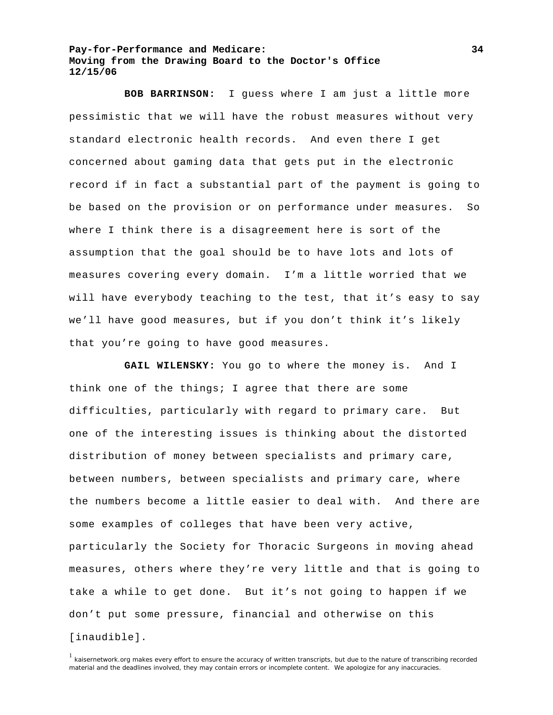**BOB BARRINSON:** I guess where I am just a little more pessimistic that we will have the robust measures without very standard electronic health records. And even there I get concerned about gaming data that gets put in the electronic record if in fact a substantial part of the payment is going to be based on the provision or on performance under measures. So where I think there is a disagreement here is sort of the assumption that the goal should be to have lots and lots of measures covering every domain. I'm a little worried that we will have everybody teaching to the test, that it's easy to say we'll have good measures, but if you don't think it's likely that you're going to have good measures.

GAIL WILENSKY: You go to where the money is. And I think one of the things; I agree that there are some difficulties, particularly with regard to primary care. But one of the interesting issues is thinking about the distorted distribution of money between specialists and primary care, between numbers, between specialists and primary care, where the numbers become a little easier to deal with. And there are some examples of colleges that have been very active, particularly the Society for Thoracic Surgeons in moving ahead measures, others where they're very little and that is going to take a while to get done. But it's not going to happen if we don't put some pressure, financial and otherwise on this [inaudible].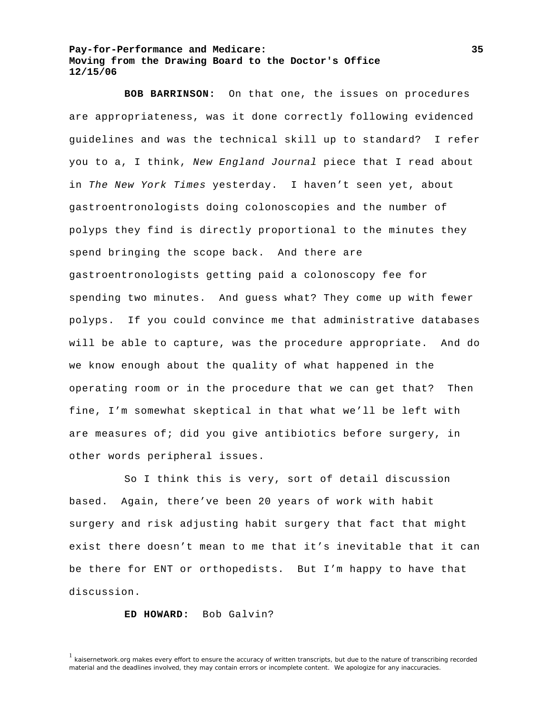**BOB BARRINSON:** On that one, the issues on procedures are appropriateness, was it done correctly following evidenced guidelines and was the technical skill up to standard? I refer you to a, I think, *New England Journal* piece that I read about in *The New York Times* yesterday. I haven't seen yet, about gastroentronologists doing colonoscopies and the number of polyps they find is directly proportional to the minutes they spend bringing the scope back. And there are gastroentronologists getting paid a colonoscopy fee for spending two minutes. And guess what? They come up with fewer polyps. If you could convince me that administrative databases will be able to capture, was the procedure appropriate. And do we know enough about the quality of what happened in the operating room or in the procedure that we can get that? Then fine, I'm somewhat skeptical in that what we'll be left with are measures of; did you give antibiotics before surgery, in other words peripheral issues.

 So I think this is very, sort of detail discussion based. Again, there've been 20 years of work with habit surgery and risk adjusting habit surgery that fact that might exist there doesn't mean to me that it's inevitable that it can be there for ENT or orthopedists. But I'm happy to have that discussion.

### **ED HOWARD:** Bob Galvin?

<sup>&</sup>lt;sup>1</sup> kaisernetwork.org makes every effort to ensure the accuracy of written transcripts, but due to the nature of transcribing recorded material and the deadlines involved, they may contain errors or incomplete content. We apologize for any inaccuracies.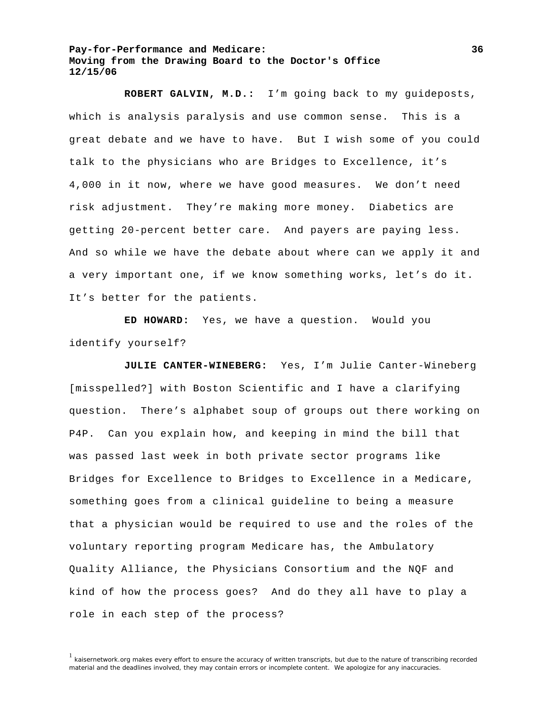**ROBERT GALVIN, M.D.:** I'm going back to my guideposts, which is analysis paralysis and use common sense. This is a great debate and we have to have. But I wish some of you could talk to the physicians who are Bridges to Excellence, it's 4,000 in it now, where we have good measures. We don't need risk adjustment. They're making more money. Diabetics are getting 20-percent better care. And payers are paying less. And so while we have the debate about where can we apply it and a very important one, if we know something works, let's do it. It's better for the patients.

**ED HOWARD:** Yes, we have a question. Would you identify yourself?

**JULIE CANTER-WINEBERG:** Yes, I'm Julie Canter-Wineberg [misspelled?] with Boston Scientific and I have a clarifying question. There's alphabet soup of groups out there working on P4P. Can you explain how, and keeping in mind the bill that was passed last week in both private sector programs like Bridges for Excellence to Bridges to Excellence in a Medicare, something goes from a clinical guideline to being a measure that a physician would be required to use and the roles of the voluntary reporting program Medicare has, the Ambulatory Quality Alliance, the Physicians Consortium and the NQF and kind of how the process goes? And do they all have to play a role in each step of the process?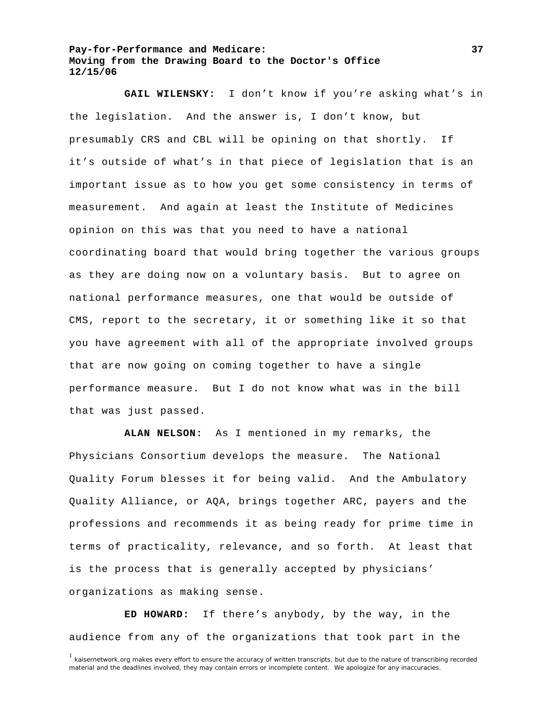**GAIL WILENSKY:** I don't know if you're asking what's in the legislation. And the answer is, I don't know, but presumably CRS and CBL will be opining on that shortly. If it's outside of what's in that piece of legislation that is an important issue as to how you get some consistency in terms of measurement. And again at least the Institute of Medicines opinion on this was that you need to have a national coordinating board that would bring together the various groups as they are doing now on a voluntary basis. But to agree on national performance measures, one that would be outside of CMS, report to the secretary, it or something like it so that you have agreement with all of the appropriate involved groups that are now going on coming together to have a single performance measure. But I do not know what was in the bill that was just passed.

**ALAN NELSON:** As I mentioned in my remarks, the Physicians Consortium develops the measure. The National Quality Forum blesses it for being valid. And the Ambulatory Quality Alliance, or AQA, brings together ARC, payers and the professions and recommends it as being ready for prime time in terms of practicality, relevance, and so forth. At least that is the process that is generally accepted by physicians' organizations as making sense.

**ED HOWARD:** If there's anybody, by the way, in the audience from any of the organizations that took part in the

<sup>&</sup>lt;sup>1</sup> kaisernetwork.org makes every effort to ensure the accuracy of written transcripts, but due to the nature of transcribing recorded material and the deadlines involved, they may contain errors or incomplete content. We apologize for any inaccuracies.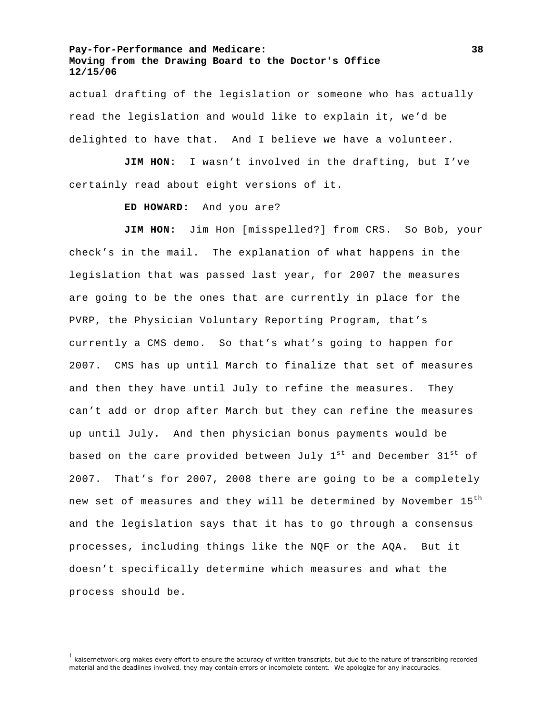actual drafting of the legislation or someone who has actually read the legislation and would like to explain it, we'd be delighted to have that. And I believe we have a volunteer.

**JIM HON:** I wasn't involved in the drafting, but I've certainly read about eight versions of it.

#### **ED HOWARD:** And you are?

JIM HON: Jim Hon [misspelled?] from CRS. So Bob, your check's in the mail. The explanation of what happens in the legislation that was passed last year, for 2007 the measures are going to be the ones that are currently in place for the PVRP, the Physician Voluntary Reporting Program, that's currently a CMS demo. So that's what's going to happen for 2007. CMS has up until March to finalize that set of measures and then they have until July to refine the measures. They can't add or drop after March but they can refine the measures up until July. And then physician bonus payments would be based on the care provided between July  $1^{st}$  and December  $31^{st}$  of 2007. That's for 2007, 2008 there are going to be a completely new set of measures and they will be determined by November 15<sup>th</sup> and the legislation says that it has to go through a consensus processes, including things like the NQF or the AQA. But it doesn't specifically determine which measures and what the process should be.

<sup>&</sup>lt;sup>1</sup> kaisernetwork.org makes every effort to ensure the accuracy of written transcripts, but due to the nature of transcribing recorded material and the deadlines involved, they may contain errors or incomplete content. We apologize for any inaccuracies.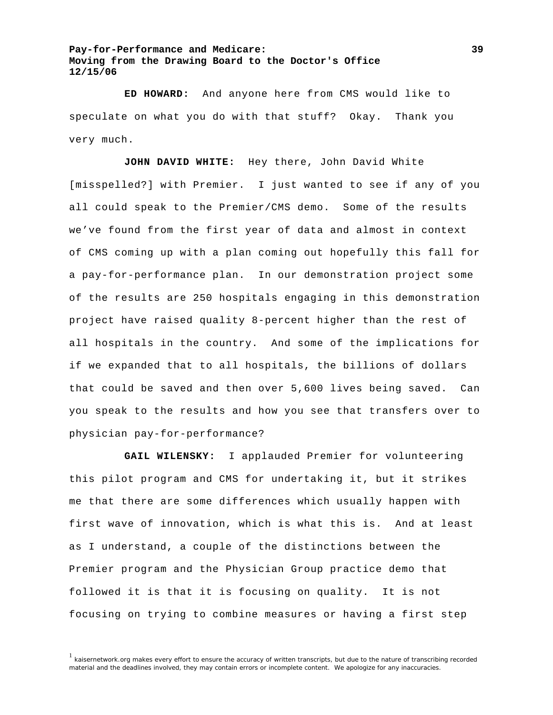**ED HOWARD:** And anyone here from CMS would like to speculate on what you do with that stuff? Okay. Thank you very much.

**JOHN DAVID WHITE:** Hey there, John David White

[misspelled?] with Premier. I just wanted to see if any of you all could speak to the Premier/CMS demo. Some of the results we've found from the first year of data and almost in context of CMS coming up with a plan coming out hopefully this fall for a pay-for-performance plan. In our demonstration project some of the results are 250 hospitals engaging in this demonstration project have raised quality 8-percent higher than the rest of all hospitals in the country. And some of the implications for if we expanded that to all hospitals, the billions of dollars that could be saved and then over 5,600 lives being saved. Can you speak to the results and how you see that transfers over to physician pay-for-performance?

**GAIL WILENSKY:** I applauded Premier for volunteering this pilot program and CMS for undertaking it, but it strikes me that there are some differences which usually happen with first wave of innovation, which is what this is. And at least as I understand, a couple of the distinctions between the Premier program and the Physician Group practice demo that followed it is that it is focusing on quality. It is not focusing on trying to combine measures or having a first step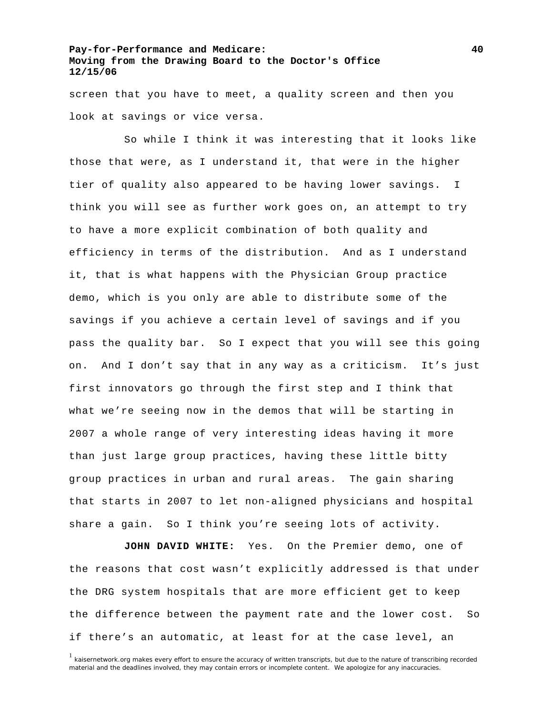screen that you have to meet, a quality screen and then you look at savings or vice versa.

 So while I think it was interesting that it looks like those that were, as I understand it, that were in the higher tier of quality also appeared to be having lower savings. I think you will see as further work goes on, an attempt to try to have a more explicit combination of both quality and efficiency in terms of the distribution. And as I understand it, that is what happens with the Physician Group practice demo, which is you only are able to distribute some of the savings if you achieve a certain level of savings and if you pass the quality bar. So I expect that you will see this going on. And I don't say that in any way as a criticism. It's just first innovators go through the first step and I think that what we're seeing now in the demos that will be starting in 2007 a whole range of very interesting ideas having it more than just large group practices, having these little bitty group practices in urban and rural areas. The gain sharing that starts in 2007 to let non-aligned physicians and hospital share a gain. So I think you're seeing lots of activity.

**JOHN DAVID WHITE:** Yes. On the Premier demo, one of the reasons that cost wasn't explicitly addressed is that under the DRG system hospitals that are more efficient get to keep the difference between the payment rate and the lower cost. So if there's an automatic, at least for at the case level, an

<sup>&</sup>lt;sup>1</sup> kaisernetwork.org makes every effort to ensure the accuracy of written transcripts, but due to the nature of transcribing recorded material and the deadlines involved, they may contain errors or incomplete content. We apologize for any inaccuracies.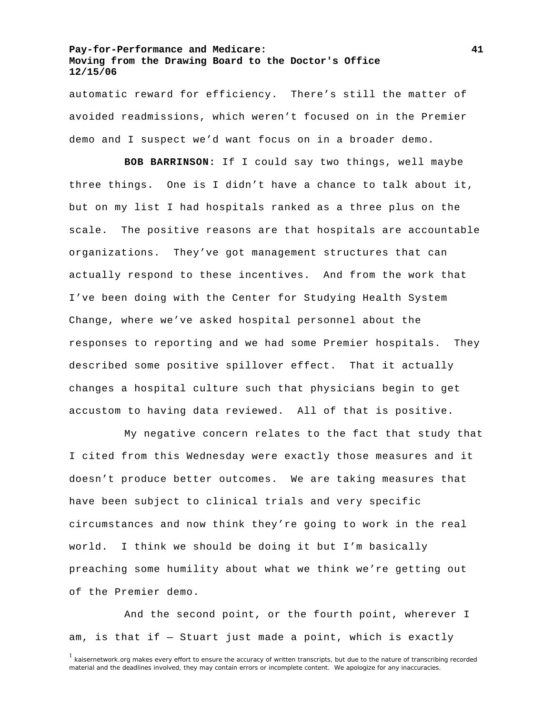automatic reward for efficiency. There's still the matter of avoided readmissions, which weren't focused on in the Premier demo and I suspect we'd want focus on in a broader demo.

**BOB BARRINSON:** If I could say two things, well maybe three things. One is I didn't have a chance to talk about it, but on my list I had hospitals ranked as a three plus on the scale. The positive reasons are that hospitals are accountable organizations. They've got management structures that can actually respond to these incentives. And from the work that I've been doing with the Center for Studying Health System Change, where we've asked hospital personnel about the responses to reporting and we had some Premier hospitals. They described some positive spillover effect. That it actually changes a hospital culture such that physicians begin to get accustom to having data reviewed. All of that is positive.

 My negative concern relates to the fact that study that I cited from this Wednesday were exactly those measures and it doesn't produce better outcomes. We are taking measures that have been subject to clinical trials and very specific circumstances and now think they're going to work in the real world. I think we should be doing it but I'm basically preaching some humility about what we think we're getting out of the Premier demo.

 And the second point, or the fourth point, wherever I am, is that if — Stuart just made a point, which is exactly

<sup>&</sup>lt;sup>1</sup> kaisernetwork.org makes every effort to ensure the accuracy of written transcripts, but due to the nature of transcribing recorded material and the deadlines involved, they may contain errors or incomplete content. We apologize for any inaccuracies.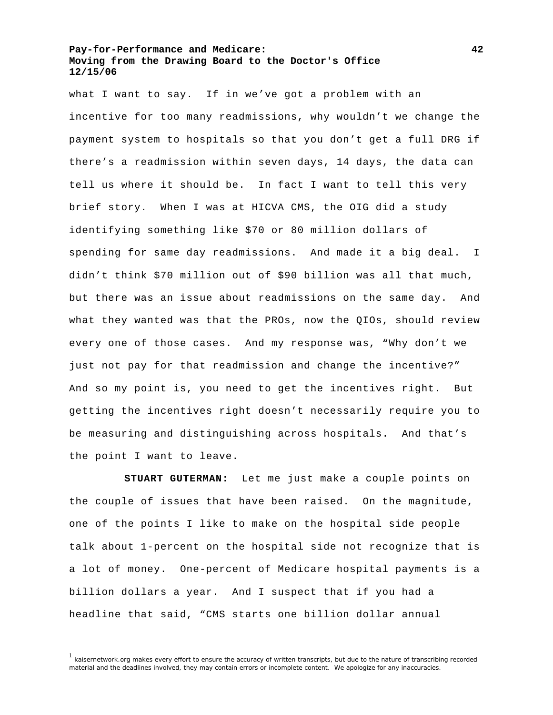what I want to say. If in we've got a problem with an incentive for too many readmissions, why wouldn't we change the payment system to hospitals so that you don't get a full DRG if there's a readmission within seven days, 14 days, the data can tell us where it should be. In fact I want to tell this very brief story. When I was at HICVA CMS, the OIG did a study identifying something like \$70 or 80 million dollars of spending for same day readmissions. And made it a big deal. I didn't think \$70 million out of \$90 billion was all that much, but there was an issue about readmissions on the same day. And what they wanted was that the PROs, now the QIOs, should review every one of those cases. And my response was, "Why don't we just not pay for that readmission and change the incentive?" And so my point is, you need to get the incentives right. But getting the incentives right doesn't necessarily require you to be measuring and distinguishing across hospitals. And that's the point I want to leave.

**STUART GUTERMAN:** Let me just make a couple points on the couple of issues that have been raised. On the magnitude, one of the points I like to make on the hospital side people talk about 1-percent on the hospital side not recognize that is a lot of money. One-percent of Medicare hospital payments is a billion dollars a year. And I suspect that if you had a headline that said, "CMS starts one billion dollar annual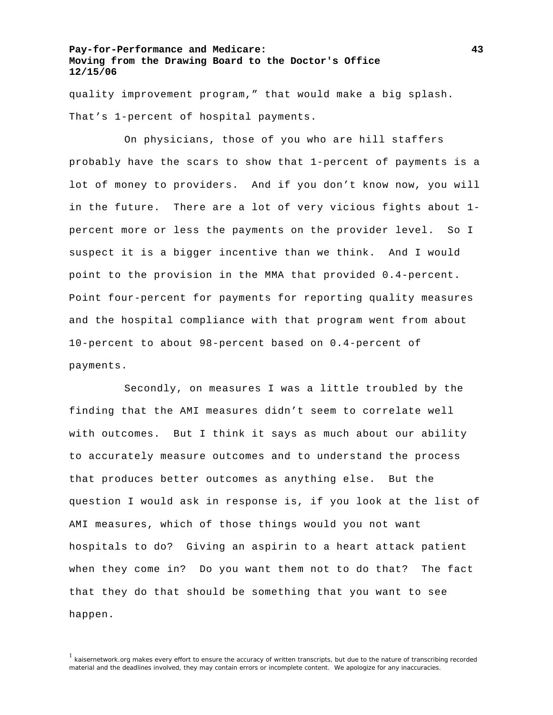quality improvement program," that would make a big splash. That's 1-percent of hospital payments.

 On physicians, those of you who are hill staffers probably have the scars to show that 1-percent of payments is a lot of money to providers. And if you don't know now, you will in the future. There are a lot of very vicious fights about 1 percent more or less the payments on the provider level. So I suspect it is a bigger incentive than we think. And I would point to the provision in the MMA that provided 0.4-percent. Point four-percent for payments for reporting quality measures and the hospital compliance with that program went from about 10-percent to about 98-percent based on 0.4-percent of payments.

 Secondly, on measures I was a little troubled by the finding that the AMI measures didn't seem to correlate well with outcomes. But I think it says as much about our ability to accurately measure outcomes and to understand the process that produces better outcomes as anything else. But the question I would ask in response is, if you look at the list of AMI measures, which of those things would you not want hospitals to do? Giving an aspirin to a heart attack patient when they come in? Do you want them not to do that? The fact that they do that should be something that you want to see happen.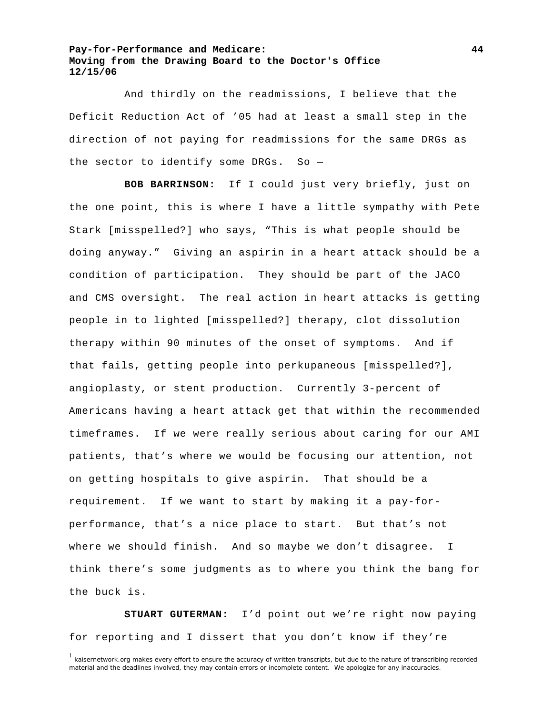And thirdly on the readmissions, I believe that the Deficit Reduction Act of '05 had at least a small step in the direction of not paying for readmissions for the same DRGs as the sector to identify some DRGs. So  $-$ 

**BOB BARRINSON:** If I could just very briefly, just on the one point, this is where I have a little sympathy with Pete Stark [misspelled?] who says, "This is what people should be doing anyway." Giving an aspirin in a heart attack should be a condition of participation. They should be part of the JACO and CMS oversight. The real action in heart attacks is getting people in to lighted [misspelled?] therapy, clot dissolution therapy within 90 minutes of the onset of symptoms. And if that fails, getting people into perkupaneous [misspelled?], angioplasty, or stent production. Currently 3-percent of Americans having a heart attack get that within the recommended timeframes. If we were really serious about caring for our AMI patients, that's where we would be focusing our attention, not on getting hospitals to give aspirin. That should be a requirement. If we want to start by making it a pay-forperformance, that's a nice place to start. But that's not where we should finish. And so maybe we don't disagree. I think there's some judgments as to where you think the bang for the buck is.

**STUART GUTERMAN:** I'd point out we're right now paying for reporting and I dissert that you don't know if they're

 $1$  kaisernetwork.org makes every effort to ensure the accuracy of written transcripts, but due to the nature of transcribing recorded material and the deadlines involved, they may contain errors or incomplete content. We apologize for any inaccuracies.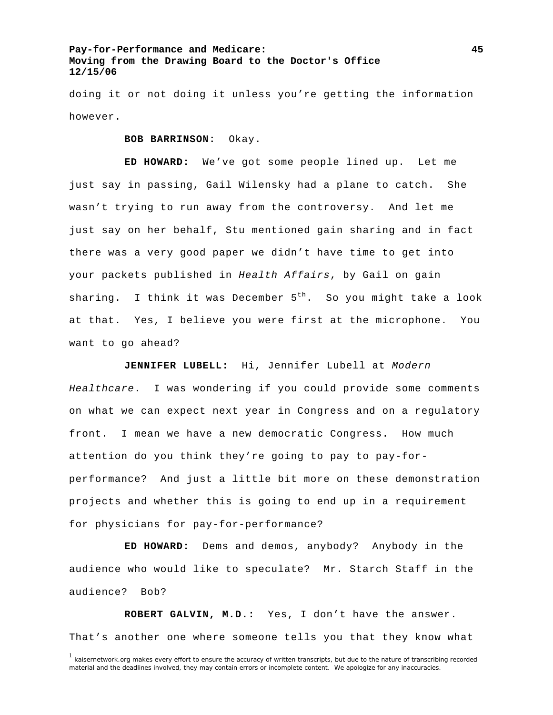doing it or not doing it unless you're getting the information however.

**BOB BARRINSON:** Okay.

**ED HOWARD:** We've got some people lined up. Let me just say in passing, Gail Wilensky had a plane to catch. She wasn't trying to run away from the controversy. And let me just say on her behalf, Stu mentioned gain sharing and in fact there was a very good paper we didn't have time to get into your packets published in *Health Affairs*, by Gail on gain sharing. I think it was December  $5^{th}$ . So you might take a look at that. Yes, I believe you were first at the microphone. You want to go ahead?

**JENNIFER LUBELL:** Hi, Jennifer Lubell at *Modern Healthcare*. I was wondering if you could provide some comments on what we can expect next year in Congress and on a regulatory front. I mean we have a new democratic Congress. How much attention do you think they're going to pay to pay-forperformance? And just a little bit more on these demonstration projects and whether this is going to end up in a requirement for physicians for pay-for-performance?

**ED HOWARD:** Dems and demos, anybody? Anybody in the audience who would like to speculate? Mr. Starch Staff in the audience? Bob?

**ROBERT GALVIN, M.D.:** Yes, I don't have the answer. That's another one where someone tells you that they know what

 $1$  kaisernetwork.org makes every effort to ensure the accuracy of written transcripts, but due to the nature of transcribing recorded material and the deadlines involved, they may contain errors or incomplete content. We apologize for any inaccuracies.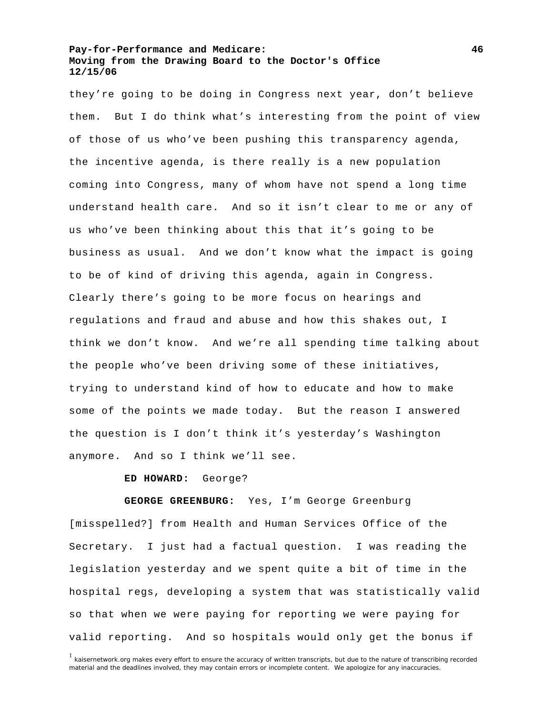they're going to be doing in Congress next year, don't believe them. But I do think what's interesting from the point of view of those of us who've been pushing this transparency agenda, the incentive agenda, is there really is a new population coming into Congress, many of whom have not spend a long time understand health care. And so it isn't clear to me or any of us who've been thinking about this that it's going to be business as usual. And we don't know what the impact is going to be of kind of driving this agenda, again in Congress. Clearly there's going to be more focus on hearings and regulations and fraud and abuse and how this shakes out, I think we don't know. And we're all spending time talking about the people who've been driving some of these initiatives, trying to understand kind of how to educate and how to make some of the points we made today. But the reason I answered the question is I don't think it's yesterday's Washington anymore. And so I think we'll see.

#### **ED HOWARD:** George?

**GEORGE GREENBURG:** Yes, I'm George Greenburg [misspelled?] from Health and Human Services Office of the Secretary. I just had a factual question. I was reading the legislation yesterday and we spent quite a bit of time in the hospital regs, developing a system that was statistically valid so that when we were paying for reporting we were paying for valid reporting. And so hospitals would only get the bonus if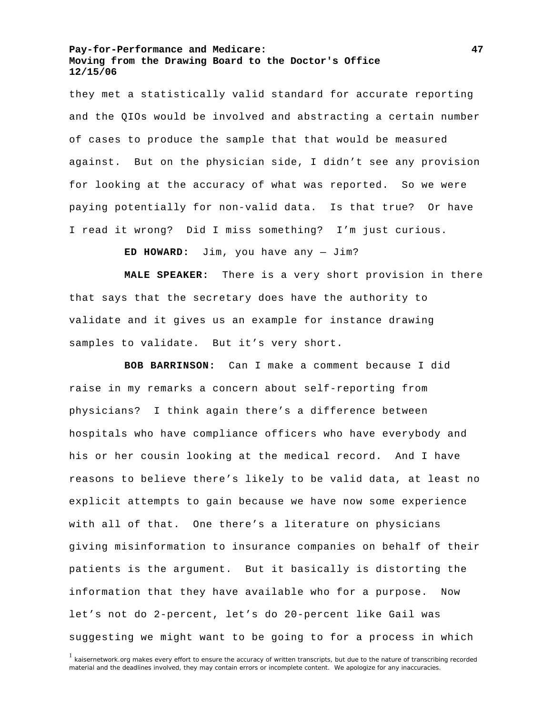they met a statistically valid standard for accurate reporting and the QIOs would be involved and abstracting a certain number of cases to produce the sample that that would be measured against. But on the physician side, I didn't see any provision for looking at the accuracy of what was reported. So we were paying potentially for non-valid data. Is that true? Or have I read it wrong? Did I miss something? I'm just curious.

**ED HOWARD:** Jim, you have any — Jim?

**MALE SPEAKER:** There is a very short provision in there that says that the secretary does have the authority to validate and it gives us an example for instance drawing samples to validate. But it's very short.

**BOB BARRINSON:** Can I make a comment because I did raise in my remarks a concern about self-reporting from physicians? I think again there's a difference between hospitals who have compliance officers who have everybody and his or her cousin looking at the medical record. And I have reasons to believe there's likely to be valid data, at least no explicit attempts to gain because we have now some experience with all of that. One there's a literature on physicians giving misinformation to insurance companies on behalf of their patients is the argument. But it basically is distorting the information that they have available who for a purpose. Now let's not do 2-percent, let's do 20-percent like Gail was suggesting we might want to be going to for a process in which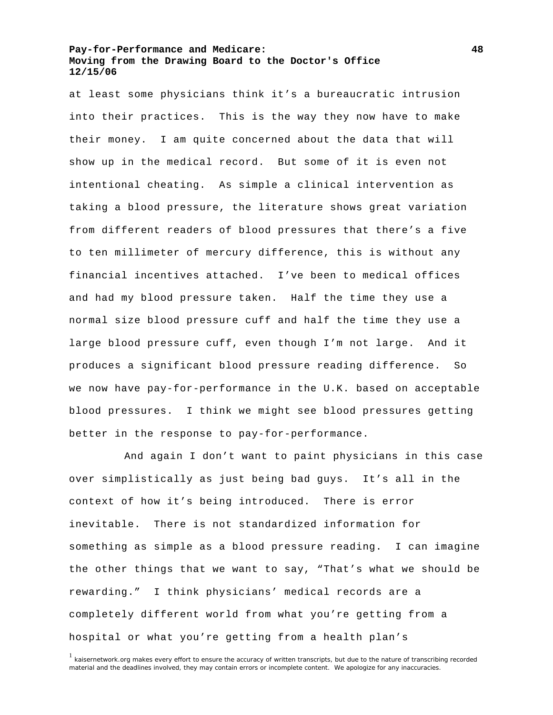at least some physicians think it's a bureaucratic intrusion into their practices. This is the way they now have to make their money. I am quite concerned about the data that will show up in the medical record. But some of it is even not intentional cheating. As simple a clinical intervention as taking a blood pressure, the literature shows great variation from different readers of blood pressures that there's a five to ten millimeter of mercury difference, this is without any financial incentives attached. I've been to medical offices and had my blood pressure taken. Half the time they use a normal size blood pressure cuff and half the time they use a large blood pressure cuff, even though I'm not large. And it produces a significant blood pressure reading difference. So we now have pay-for-performance in the U.K. based on acceptable blood pressures. I think we might see blood pressures getting better in the response to pay-for-performance.

 And again I don't want to paint physicians in this case over simplistically as just being bad guys. It's all in the context of how it's being introduced. There is error inevitable. There is not standardized information for something as simple as a blood pressure reading. I can imagine the other things that we want to say, "That's what we should be rewarding." I think physicians' medical records are a completely different world from what you're getting from a hospital or what you're getting from a health plan's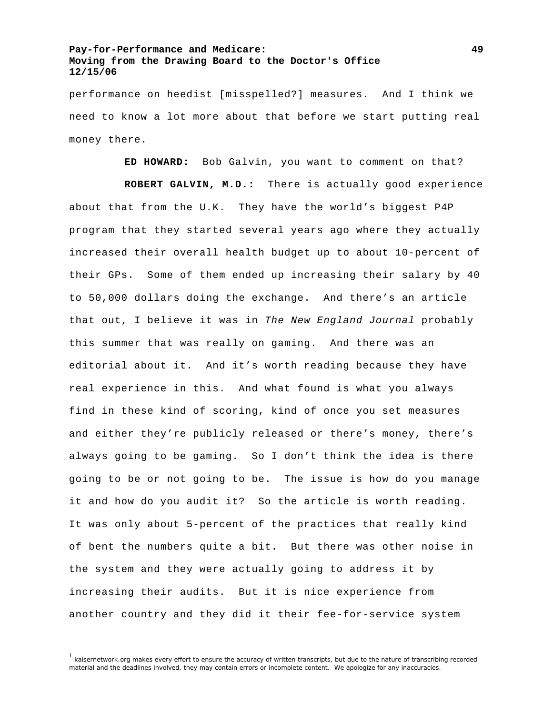performance on heedist [misspelled?] measures. And I think we need to know a lot more about that before we start putting real money there.

**ED HOWARD:** Bob Galvin, you want to comment on that?

**ROBERT GALVIN, M.D.:** There is actually good experience about that from the U.K. They have the world's biggest P4P program that they started several years ago where they actually increased their overall health budget up to about 10-percent of their GPs. Some of them ended up increasing their salary by 40 to 50,000 dollars doing the exchange. And there's an article that out, I believe it was in *The New England Journal* probably this summer that was really on gaming. And there was an editorial about it. And it's worth reading because they have real experience in this. And what found is what you always find in these kind of scoring, kind of once you set measures and either they're publicly released or there's money, there's always going to be gaming. So I don't think the idea is there going to be or not going to be. The issue is how do you manage it and how do you audit it? So the article is worth reading. It was only about 5-percent of the practices that really kind of bent the numbers quite a bit. But there was other noise in the system and they were actually going to address it by increasing their audits. But it is nice experience from another country and they did it their fee-for-service system

<sup>1</sup> kaisernetwork.org makes every effort to ensure the accuracy of written transcripts, but due to the nature of transcribing recorded material and the deadlines involved, they may contain errors or incomplete content. We apologize for any inaccuracies.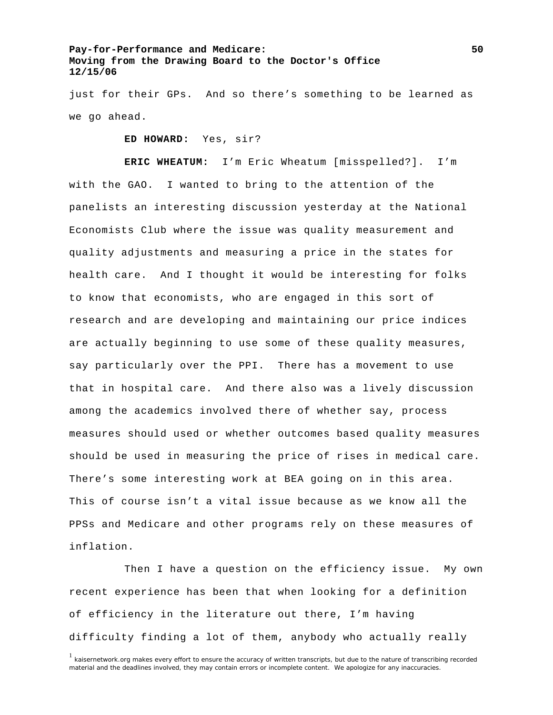just for their GPs. And so there's something to be learned as we go ahead.

**ED HOWARD:** Yes, sir?

**ERIC WHEATUM:** I'm Eric Wheatum [misspelled?]. I'm with the GAO. I wanted to bring to the attention of the panelists an interesting discussion yesterday at the National Economists Club where the issue was quality measurement and quality adjustments and measuring a price in the states for health care. And I thought it would be interesting for folks to know that economists, who are engaged in this sort of research and are developing and maintaining our price indices are actually beginning to use some of these quality measures, say particularly over the PPI. There has a movement to use that in hospital care. And there also was a lively discussion among the academics involved there of whether say, process measures should used or whether outcomes based quality measures should be used in measuring the price of rises in medical care. There's some interesting work at BEA going on in this area. This of course isn't a vital issue because as we know all the PPSs and Medicare and other programs rely on these measures of inflation.

Then I have a question on the efficiency issue. My own recent experience has been that when looking for a definition of efficiency in the literature out there, I'm having difficulty finding a lot of them, anybody who actually really

<sup>&</sup>lt;sup>1</sup> kaisernetwork.org makes every effort to ensure the accuracy of written transcripts, but due to the nature of transcribing recorded material and the deadlines involved, they may contain errors or incomplete content. We apologize for any inaccuracies.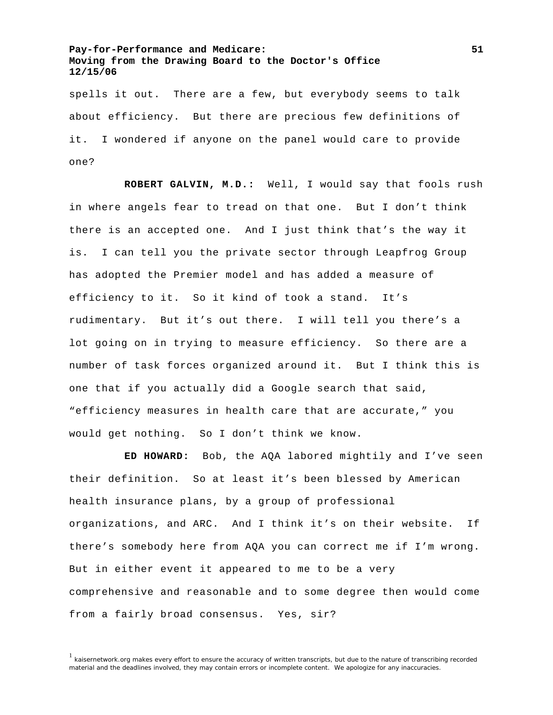spells it out. There are a few, but everybody seems to talk about efficiency. But there are precious few definitions of it. I wondered if anyone on the panel would care to provide one?

**ROBERT GALVIN, M.D.:** Well, I would say that fools rush in where angels fear to tread on that one. But I don't think there is an accepted one. And I just think that's the way it is. I can tell you the private sector through Leapfrog Group has adopted the Premier model and has added a measure of efficiency to it. So it kind of took a stand. It's rudimentary. But it's out there. I will tell you there's a lot going on in trying to measure efficiency. So there are a number of task forces organized around it. But I think this is one that if you actually did a Google search that said, "efficiency measures in health care that are accurate," you would get nothing. So I don't think we know.

**ED HOWARD:** Bob, the AQA labored mightily and I've seen their definition. So at least it's been blessed by American health insurance plans, by a group of professional organizations, and ARC. And I think it's on their website. If there's somebody here from AQA you can correct me if I'm wrong. But in either event it appeared to me to be a very comprehensive and reasonable and to some degree then would come from a fairly broad consensus. Yes, sir?

<sup>&</sup>lt;sup>1</sup> kaisernetwork.org makes every effort to ensure the accuracy of written transcripts, but due to the nature of transcribing recorded material and the deadlines involved, they may contain errors or incomplete content. We apologize for any inaccuracies.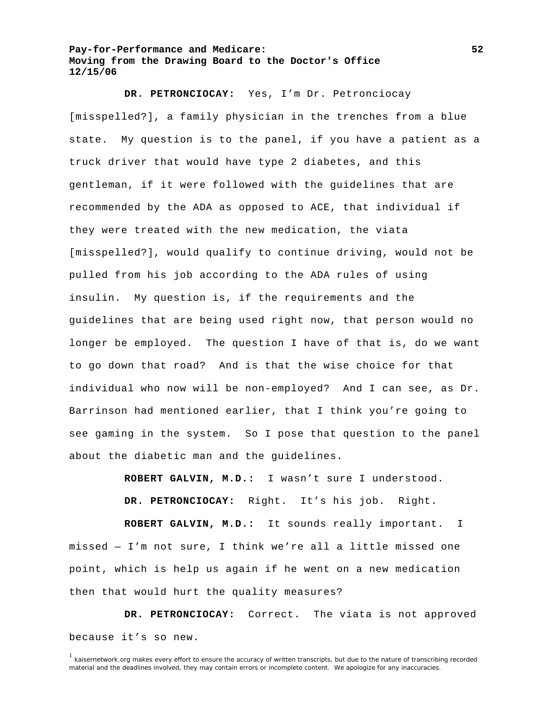**DR. PETRONCIOCAY:** Yes, I'm Dr. Petronciocay [misspelled?], a family physician in the trenches from a blue state. My question is to the panel, if you have a patient as a truck driver that would have type 2 diabetes, and this gentleman, if it were followed with the guidelines that are recommended by the ADA as opposed to ACE, that individual if they were treated with the new medication, the viata [misspelled?], would qualify to continue driving, would not be pulled from his job according to the ADA rules of using insulin. My question is, if the requirements and the guidelines that are being used right now, that person would no longer be employed. The question I have of that is, do we want to go down that road? And is that the wise choice for that individual who now will be non-employed? And I can see, as Dr. Barrinson had mentioned earlier, that I think you're going to see gaming in the system. So I pose that question to the panel about the diabetic man and the guidelines.

**ROBERT GALVIN, M.D.:** I wasn't sure I understood.

**DR. PETRONCIOCAY:** Right. It's his job. Right.

**ROBERT GALVIN, M.D.:** It sounds really important. I missed — I'm not sure, I think we're all a little missed one point, which is help us again if he went on a new medication then that would hurt the quality measures?

**DR. PETRONCIOCAY:** Correct. The viata is not approved because it's so new.

<sup>&</sup>lt;sup>1</sup> kaisernetwork.org makes every effort to ensure the accuracy of written transcripts, but due to the nature of transcribing recorded material and the deadlines involved, they may contain errors or incomplete content. We apologize for any inaccuracies.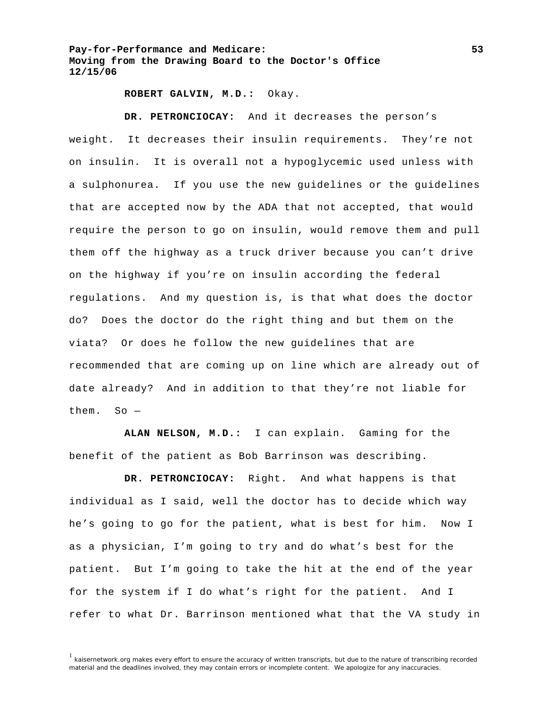### **ROBERT GALVIN, M.D.:** Okay.

**DR. PETRONCIOCAY:** And it decreases the person's weight. It decreases their insulin requirements. They're not on insulin. It is overall not a hypoglycemic used unless with a sulphonurea. If you use the new guidelines or the guidelines that are accepted now by the ADA that not accepted, that would require the person to go on insulin, would remove them and pull them off the highway as a truck driver because you can't drive on the highway if you're on insulin according the federal regulations. And my question is, is that what does the doctor do? Does the doctor do the right thing and but them on the viata? Or does he follow the new guidelines that are recommended that are coming up on line which are already out of date already? And in addition to that they're not liable for them. So —

**ALAN NELSON, M.D.:** I can explain. Gaming for the benefit of the patient as Bob Barrinson was describing.

**DR. PETRONCIOCAY:** Right. And what happens is that individual as I said, well the doctor has to decide which way he's going to go for the patient, what is best for him. Now I as a physician, I'm going to try and do what's best for the patient. But I'm going to take the hit at the end of the year for the system if I do what's right for the patient. And I refer to what Dr. Barrinson mentioned what that the VA study in

<sup>&</sup>lt;sup>1</sup> kaisernetwork.org makes every effort to ensure the accuracy of written transcripts, but due to the nature of transcribing recorded material and the deadlines involved, they may contain errors or incomplete content. We apologize for any inaccuracies.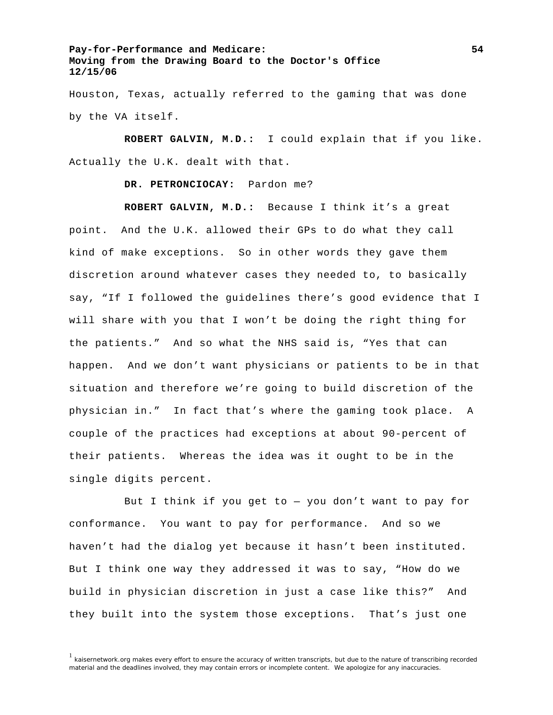Houston, Texas, actually referred to the gaming that was done by the VA itself.

**ROBERT GALVIN, M.D.:** I could explain that if you like. Actually the U.K. dealt with that.

**DR. PETRONCIOCAY:** Pardon me?

**ROBERT GALVIN, M.D.:** Because I think it's a great point. And the U.K. allowed their GPs to do what they call kind of make exceptions. So in other words they gave them discretion around whatever cases they needed to, to basically say, "If I followed the guidelines there's good evidence that I will share with you that I won't be doing the right thing for the patients." And so what the NHS said is, "Yes that can happen. And we don't want physicians or patients to be in that situation and therefore we're going to build discretion of the physician in." In fact that's where the gaming took place. A couple of the practices had exceptions at about 90-percent of their patients. Whereas the idea was it ought to be in the single digits percent.

But I think if you get to  $-$  you don't want to pay for conformance. You want to pay for performance. And so we haven't had the dialog yet because it hasn't been instituted. But I think one way they addressed it was to say, "How do we build in physician discretion in just a case like this?" And they built into the system those exceptions. That's just one

<sup>&</sup>lt;sup>1</sup> kaisernetwork.org makes every effort to ensure the accuracy of written transcripts, but due to the nature of transcribing recorded material and the deadlines involved, they may contain errors or incomplete content. We apologize for any inaccuracies.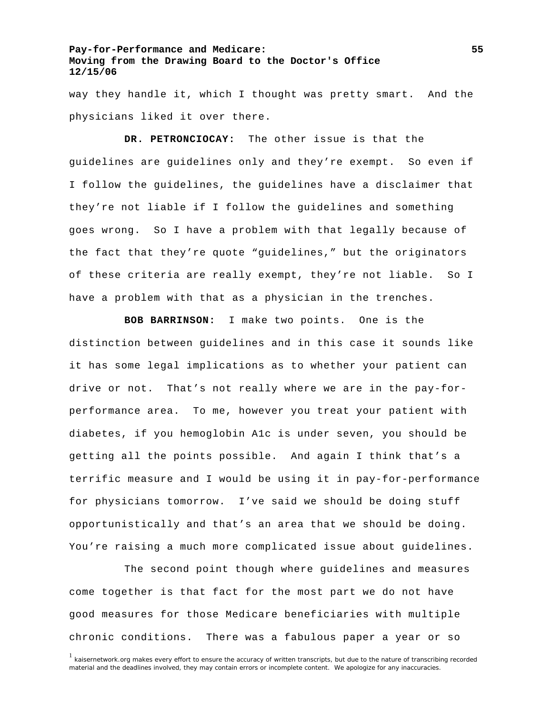way they handle it, which I thought was pretty smart. And the physicians liked it over there.

**DR. PETRONCIOCAY:** The other issue is that the guidelines are guidelines only and they're exempt. So even if I follow the guidelines, the guidelines have a disclaimer that they're not liable if I follow the guidelines and something goes wrong. So I have a problem with that legally because of the fact that they're quote "guidelines," but the originators of these criteria are really exempt, they're not liable. So I have a problem with that as a physician in the trenches.

**BOB BARRINSON:** I make two points. One is the distinction between guidelines and in this case it sounds like it has some legal implications as to whether your patient can drive or not. That's not really where we are in the pay-forperformance area. To me, however you treat your patient with diabetes, if you hemoglobin A1c is under seven, you should be getting all the points possible. And again I think that's a terrific measure and I would be using it in pay-for-performance for physicians tomorrow. I've said we should be doing stuff opportunistically and that's an area that we should be doing. You're raising a much more complicated issue about guidelines.

 The second point though where guidelines and measures come together is that fact for the most part we do not have good measures for those Medicare beneficiaries with multiple chronic conditions. There was a fabulous paper a year or so

<sup>&</sup>lt;sup>1</sup> kaisernetwork.org makes every effort to ensure the accuracy of written transcripts, but due to the nature of transcribing recorded material and the deadlines involved, they may contain errors or incomplete content. We apologize for any inaccuracies.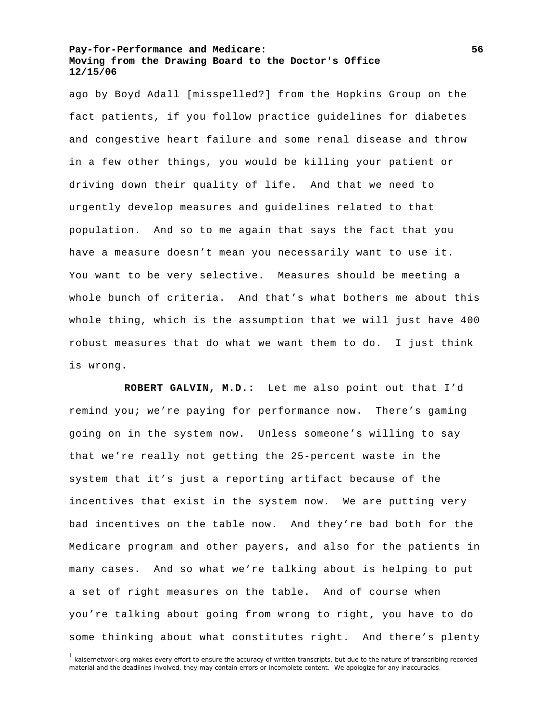ago by Boyd Adall [misspelled?] from the Hopkins Group on the fact patients, if you follow practice guidelines for diabetes and congestive heart failure and some renal disease and throw in a few other things, you would be killing your patient or driving down their quality of life. And that we need to urgently develop measures and guidelines related to that population. And so to me again that says the fact that you have a measure doesn't mean you necessarily want to use it. You want to be very selective. Measures should be meeting a whole bunch of criteria. And that's what bothers me about this whole thing, which is the assumption that we will just have 400 robust measures that do what we want them to do. I just think is wrong.

**ROBERT GALVIN, M.D.:** Let me also point out that I'd remind you; we're paying for performance now. There's gaming going on in the system now. Unless someone's willing to say that we're really not getting the 25-percent waste in the system that it's just a reporting artifact because of the incentives that exist in the system now. We are putting very bad incentives on the table now. And they're bad both for the Medicare program and other payers, and also for the patients in many cases. And so what we're talking about is helping to put a set of right measures on the table. And of course when you're talking about going from wrong to right, you have to do some thinking about what constitutes right. And there's plenty

<sup>&</sup>lt;sup>1</sup> kaisernetwork.org makes every effort to ensure the accuracy of written transcripts, but due to the nature of transcribing recorded material and the deadlines involved, they may contain errors or incomplete content. We apologize for any inaccuracies.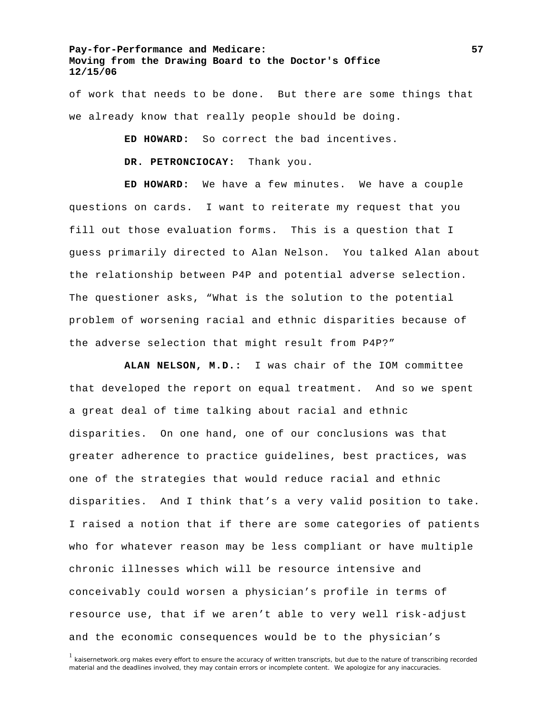of work that needs to be done. But there are some things that we already know that really people should be doing.

**ED HOWARD:** So correct the bad incentives.

**DR. PETRONCIOCAY:** Thank you.

**ED HOWARD:** We have a few minutes. We have a couple questions on cards. I want to reiterate my request that you fill out those evaluation forms. This is a question that I guess primarily directed to Alan Nelson. You talked Alan about the relationship between P4P and potential adverse selection. The questioner asks, "What is the solution to the potential problem of worsening racial and ethnic disparities because of the adverse selection that might result from P4P?"

**ALAN NELSON, M.D.:** I was chair of the IOM committee that developed the report on equal treatment. And so we spent a great deal of time talking about racial and ethnic disparities. On one hand, one of our conclusions was that greater adherence to practice guidelines, best practices, was one of the strategies that would reduce racial and ethnic disparities. And I think that's a very valid position to take. I raised a notion that if there are some categories of patients who for whatever reason may be less compliant or have multiple chronic illnesses which will be resource intensive and conceivably could worsen a physician's profile in terms of resource use, that if we aren't able to very well risk-adjust and the economic consequences would be to the physician's

<sup>&</sup>lt;sup>1</sup> kaisernetwork.org makes every effort to ensure the accuracy of written transcripts, but due to the nature of transcribing recorded material and the deadlines involved, they may contain errors or incomplete content. We apologize for any inaccuracies.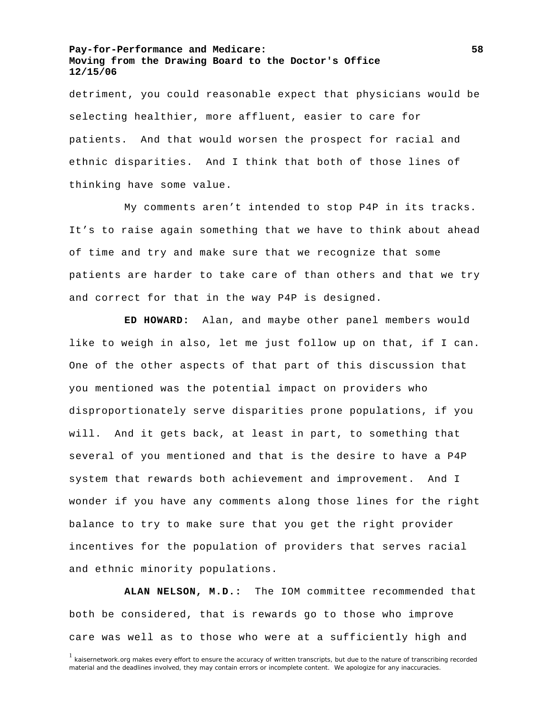detriment, you could reasonable expect that physicians would be selecting healthier, more affluent, easier to care for patients. And that would worsen the prospect for racial and ethnic disparities. And I think that both of those lines of thinking have some value.

 My comments aren't intended to stop P4P in its tracks. It's to raise again something that we have to think about ahead of time and try and make sure that we recognize that some patients are harder to take care of than others and that we try and correct for that in the way P4P is designed.

**ED HOWARD:** Alan, and maybe other panel members would like to weigh in also, let me just follow up on that, if I can. One of the other aspects of that part of this discussion that you mentioned was the potential impact on providers who disproportionately serve disparities prone populations, if you will. And it gets back, at least in part, to something that several of you mentioned and that is the desire to have a P4P system that rewards both achievement and improvement. And I wonder if you have any comments along those lines for the right balance to try to make sure that you get the right provider incentives for the population of providers that serves racial and ethnic minority populations.

**ALAN NELSON, M.D.:** The IOM committee recommended that both be considered, that is rewards go to those who improve care was well as to those who were at a sufficiently high and

<sup>1</sup> kaisernetwork.org makes every effort to ensure the accuracy of written transcripts, but due to the nature of transcribing recorded material and the deadlines involved, they may contain errors or incomplete content. We apologize for any inaccuracies.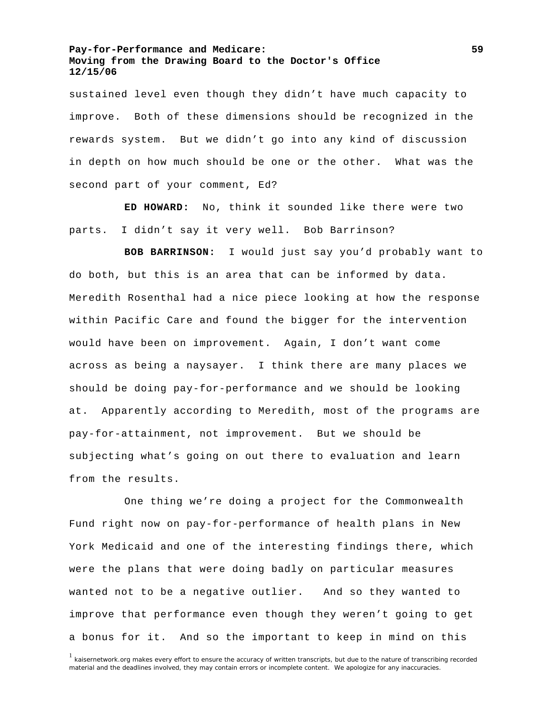sustained level even though they didn't have much capacity to improve. Both of these dimensions should be recognized in the rewards system. But we didn't go into any kind of discussion in depth on how much should be one or the other. What was the second part of your comment, Ed?

**ED HOWARD:** No, think it sounded like there were two parts. I didn't say it very well. Bob Barrinson?

**BOB BARRINSON:** I would just say you'd probably want to do both, but this is an area that can be informed by data. Meredith Rosenthal had a nice piece looking at how the response within Pacific Care and found the bigger for the intervention would have been on improvement. Again, I don't want come across as being a naysayer. I think there are many places we should be doing pay-for-performance and we should be looking at. Apparently according to Meredith, most of the programs are pay-for-attainment, not improvement. But we should be subjecting what's going on out there to evaluation and learn from the results.

 One thing we're doing a project for the Commonwealth Fund right now on pay-for-performance of health plans in New York Medicaid and one of the interesting findings there, which were the plans that were doing badly on particular measures wanted not to be a negative outlier. And so they wanted to improve that performance even though they weren't going to get a bonus for it. And so the important to keep in mind on this

<sup>1</sup> kaisernetwork.org makes every effort to ensure the accuracy of written transcripts, but due to the nature of transcribing recorded material and the deadlines involved, they may contain errors or incomplete content. We apologize for any inaccuracies.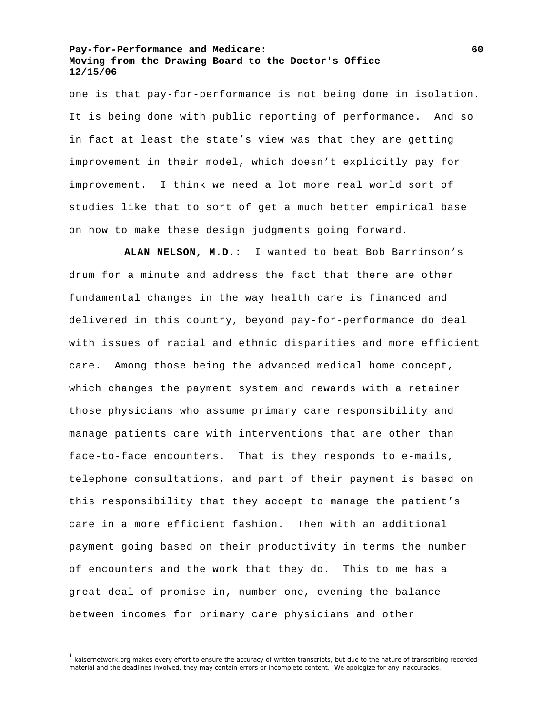one is that pay-for-performance is not being done in isolation. It is being done with public reporting of performance. And so in fact at least the state's view was that they are getting improvement in their model, which doesn't explicitly pay for improvement. I think we need a lot more real world sort of studies like that to sort of get a much better empirical base on how to make these design judgments going forward.

**ALAN NELSON, M.D.:** I wanted to beat Bob Barrinson's drum for a minute and address the fact that there are other fundamental changes in the way health care is financed and delivered in this country, beyond pay-for-performance do deal with issues of racial and ethnic disparities and more efficient care. Among those being the advanced medical home concept, which changes the payment system and rewards with a retainer those physicians who assume primary care responsibility and manage patients care with interventions that are other than face-to-face encounters. That is they responds to e-mails, telephone consultations, and part of their payment is based on this responsibility that they accept to manage the patient's care in a more efficient fashion. Then with an additional payment going based on their productivity in terms the number of encounters and the work that they do. This to me has a great deal of promise in, number one, evening the balance between incomes for primary care physicians and other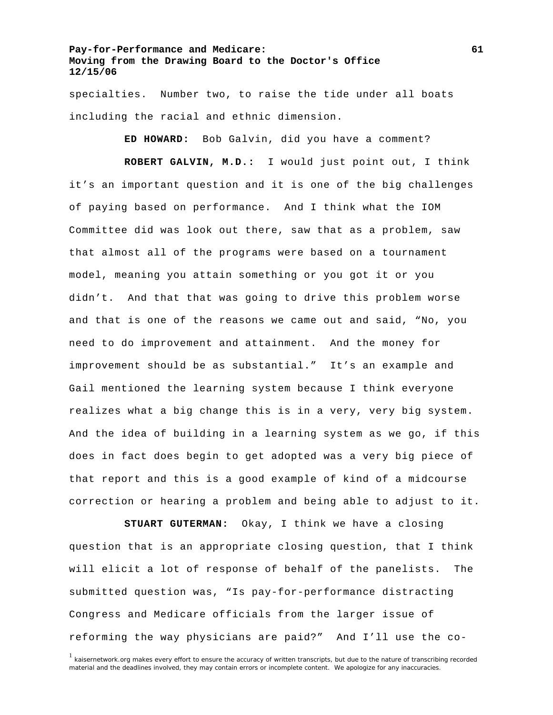specialties. Number two, to raise the tide under all boats including the racial and ethnic dimension.

**ED HOWARD:** Bob Galvin, did you have a comment?

**ROBERT GALVIN, M.D.:** I would just point out, I think it's an important question and it is one of the big challenges of paying based on performance. And I think what the IOM Committee did was look out there, saw that as a problem, saw that almost all of the programs were based on a tournament model, meaning you attain something or you got it or you didn't. And that that was going to drive this problem worse and that is one of the reasons we came out and said, "No, you need to do improvement and attainment. And the money for improvement should be as substantial." It's an example and Gail mentioned the learning system because I think everyone realizes what a big change this is in a very, very big system. And the idea of building in a learning system as we go, if this does in fact does begin to get adopted was a very big piece of that report and this is a good example of kind of a midcourse correction or hearing a problem and being able to adjust to it.

**STUART GUTERMAN:** Okay, I think we have a closing question that is an appropriate closing question, that I think will elicit a lot of response of behalf of the panelists. The submitted question was, "Is pay-for-performance distracting Congress and Medicare officials from the larger issue of reforming the way physicians are paid?" And I'll use the co-

<sup>&</sup>lt;sup>1</sup> kaisernetwork.org makes every effort to ensure the accuracy of written transcripts, but due to the nature of transcribing recorded material and the deadlines involved, they may contain errors or incomplete content. We apologize for any inaccuracies.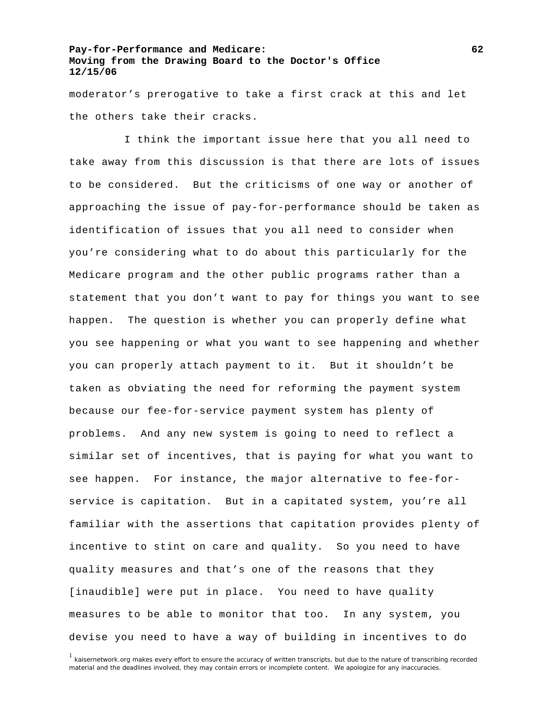moderator's prerogative to take a first crack at this and let the others take their cracks.

 I think the important issue here that you all need to take away from this discussion is that there are lots of issues to be considered. But the criticisms of one way or another of approaching the issue of pay-for-performance should be taken as identification of issues that you all need to consider when you're considering what to do about this particularly for the Medicare program and the other public programs rather than a statement that you don't want to pay for things you want to see happen. The question is whether you can properly define what you see happening or what you want to see happening and whether you can properly attach payment to it. But it shouldn't be taken as obviating the need for reforming the payment system because our fee-for-service payment system has plenty of problems. And any new system is going to need to reflect a similar set of incentives, that is paying for what you want to see happen. For instance, the major alternative to fee-forservice is capitation. But in a capitated system, you're all familiar with the assertions that capitation provides plenty of incentive to stint on care and quality. So you need to have quality measures and that's one of the reasons that they [inaudible] were put in place. You need to have quality measures to be able to monitor that too. In any system, you devise you need to have a way of building in incentives to do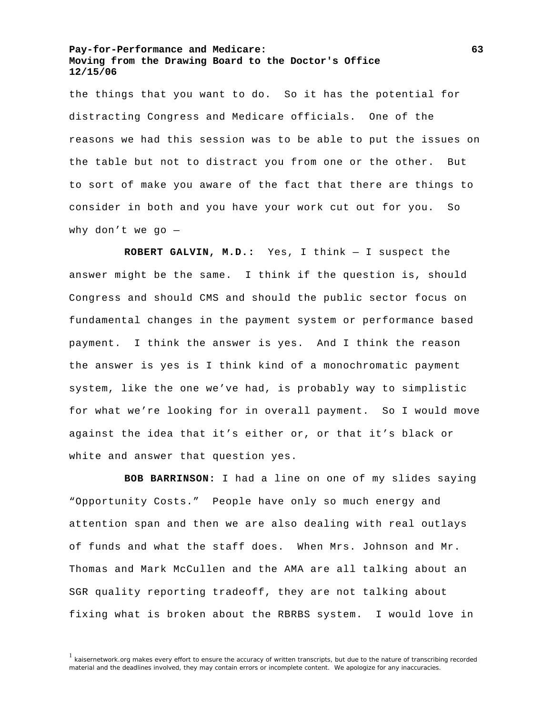the things that you want to do. So it has the potential for distracting Congress and Medicare officials. One of the reasons we had this session was to be able to put the issues on the table but not to distract you from one or the other. But to sort of make you aware of the fact that there are things to consider in both and you have your work cut out for you. So why don't we go —

**ROBERT GALVIN, M.D.:** Yes, I think — I suspect the answer might be the same. I think if the question is, should Congress and should CMS and should the public sector focus on fundamental changes in the payment system or performance based payment. I think the answer is yes. And I think the reason the answer is yes is I think kind of a monochromatic payment system, like the one we've had, is probably way to simplistic for what we're looking for in overall payment. So I would move against the idea that it's either or, or that it's black or white and answer that question yes.

**BOB BARRINSON:** I had a line on one of my slides saying "Opportunity Costs." People have only so much energy and attention span and then we are also dealing with real outlays of funds and what the staff does. When Mrs. Johnson and Mr. Thomas and Mark McCullen and the AMA are all talking about an SGR quality reporting tradeoff, they are not talking about fixing what is broken about the RBRBS system. I would love in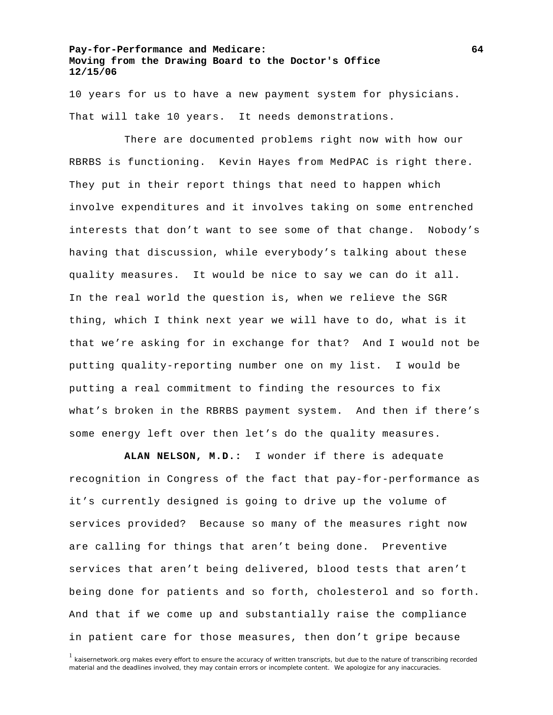10 years for us to have a new payment system for physicians. That will take 10 years. It needs demonstrations.

 There are documented problems right now with how our RBRBS is functioning. Kevin Hayes from MedPAC is right there. They put in their report things that need to happen which involve expenditures and it involves taking on some entrenched interests that don't want to see some of that change. Nobody's having that discussion, while everybody's talking about these quality measures. It would be nice to say we can do it all. In the real world the question is, when we relieve the SGR thing, which I think next year we will have to do, what is it that we're asking for in exchange for that? And I would not be putting quality-reporting number one on my list. I would be putting a real commitment to finding the resources to fix what's broken in the RBRBS payment system. And then if there's some energy left over then let's do the quality measures.

**ALAN NELSON, M.D.:** I wonder if there is adequate recognition in Congress of the fact that pay-for-performance as it's currently designed is going to drive up the volume of services provided? Because so many of the measures right now are calling for things that aren't being done. Preventive services that aren't being delivered, blood tests that aren't being done for patients and so forth, cholesterol and so forth. And that if we come up and substantially raise the compliance in patient care for those measures, then don't gripe because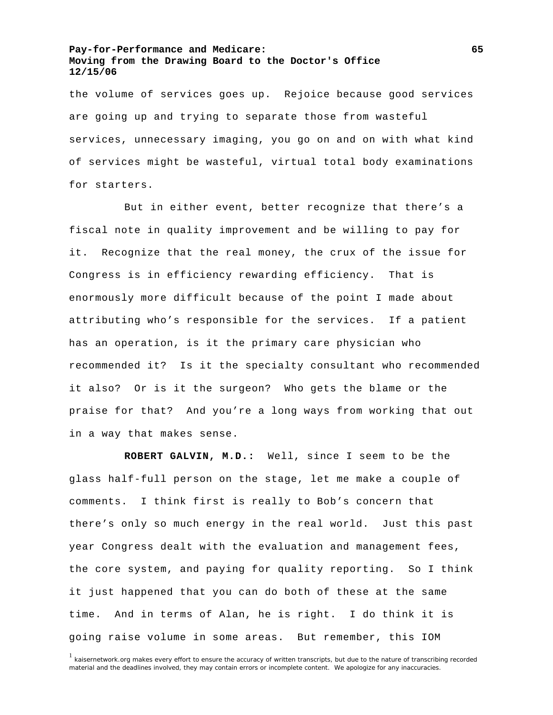the volume of services goes up. Rejoice because good services are going up and trying to separate those from wasteful services, unnecessary imaging, you go on and on with what kind of services might be wasteful, virtual total body examinations for starters.

 But in either event, better recognize that there's a fiscal note in quality improvement and be willing to pay for it. Recognize that the real money, the crux of the issue for Congress is in efficiency rewarding efficiency. That is enormously more difficult because of the point I made about attributing who's responsible for the services. If a patient has an operation, is it the primary care physician who recommended it? Is it the specialty consultant who recommended it also? Or is it the surgeon? Who gets the blame or the praise for that? And you're a long ways from working that out in a way that makes sense.

**ROBERT GALVIN, M.D.:** Well, since I seem to be the glass half-full person on the stage, let me make a couple of comments. I think first is really to Bob's concern that there's only so much energy in the real world. Just this past year Congress dealt with the evaluation and management fees, the core system, and paying for quality reporting. So I think it just happened that you can do both of these at the same time. And in terms of Alan, he is right. I do think it is going raise volume in some areas. But remember, this IOM